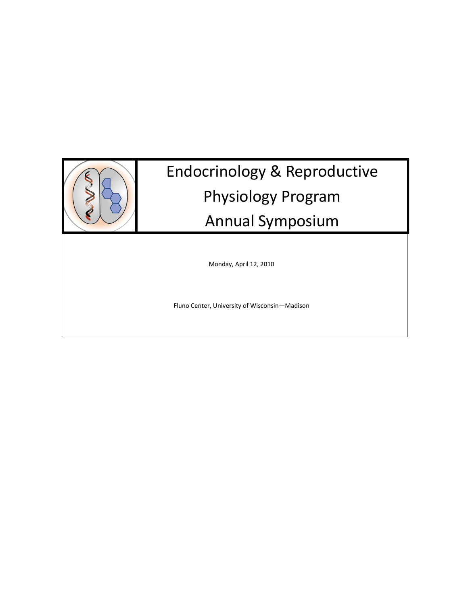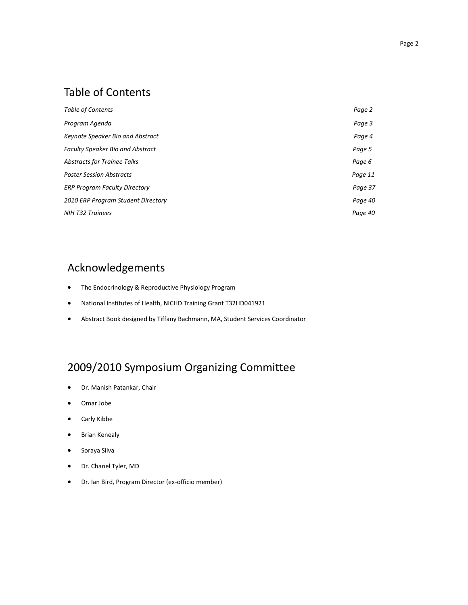## Table of Contents

| <b>Table of Contents</b>                | Page 2  |
|-----------------------------------------|---------|
| Program Agenda                          | Page 3  |
| Keynote Speaker Bio and Abstract        | Page 4  |
| <b>Faculty Speaker Bio and Abstract</b> | Page 5  |
| <b>Abstracts for Trainee Talks</b>      | Page 6  |
| <b>Poster Session Abstracts</b>         | Page 11 |
| <b>ERP Program Faculty Directory</b>    | Page 37 |
| 2010 ERP Program Student Directory      | Page 40 |
| NIH T32 Trainees                        | Page 40 |

# Acknowledgements

- The Endocrinology & Reproductive Physiology Program
- National Institutes of Health, NICHD Training Grant T32HD041921
- Abstract Book designed by Tiffany Bachmann, MA, Student Services Coordinator

# 2009/2010 Symposium Organizing Committee

- Dr. Manish Patankar, Chair
- Omar Jobe
- Carly Kibbe
- **•** Brian Kenealy
- **•** Soraya Silva
- Dr. Chanel Tyler, MD
- Dr. Ian Bird, Program Director (ex-officio member)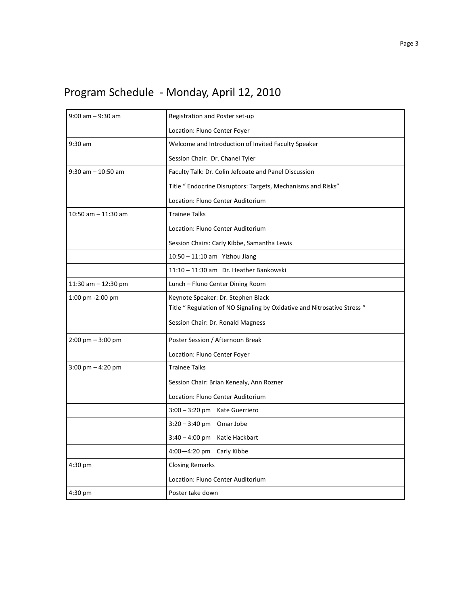# Program Schedule - Monday, April 12, 2010

| $9:00$ am $-9:30$ am                | Registration and Poster set-up                                           |
|-------------------------------------|--------------------------------------------------------------------------|
|                                     | Location: Fluno Center Foyer                                             |
| $9:30$ am                           | Welcome and Introduction of Invited Faculty Speaker                      |
|                                     | Session Chair: Dr. Chanel Tyler                                          |
| $9:30$ am $-10:50$ am               | Faculty Talk: Dr. Colin Jefcoate and Panel Discussion                    |
|                                     | Title " Endocrine Disruptors: Targets, Mechanisms and Risks"             |
|                                     | Location: Fluno Center Auditorium                                        |
| 10:50 am $-$ 11:30 am               | <b>Trainee Talks</b>                                                     |
|                                     | Location: Fluno Center Auditorium                                        |
|                                     | Session Chairs: Carly Kibbe, Samantha Lewis                              |
|                                     | $10:50 - 11:10$ am Yizhou Jiang                                          |
|                                     | 11:10 - 11:30 am Dr. Heather Bankowski                                   |
| 11:30 am $-$ 12:30 pm               | Lunch – Fluno Center Dining Room                                         |
| 1:00 pm -2:00 pm                    | Keynote Speaker: Dr. Stephen Black                                       |
|                                     | Title " Regulation of NO Signaling by Oxidative and Nitrosative Stress " |
|                                     | Session Chair: Dr. Ronald Magness                                        |
| $2:00 \text{ pm} - 3:00 \text{ pm}$ | Poster Session / Afternoon Break                                         |
|                                     | Location: Fluno Center Foyer                                             |
| $3:00 \text{ pm} - 4:20 \text{ pm}$ | <b>Trainee Talks</b>                                                     |
|                                     | Session Chair: Brian Kenealy, Ann Rozner                                 |
|                                     | Location: Fluno Center Auditorium                                        |
|                                     | 3:00 - 3:20 pm Kate Guerriero                                            |
|                                     | $3:20 - 3:40$ pm Omar Jobe                                               |
|                                     | 3:40 - 4:00 pm Katie Hackbart                                            |
|                                     | 4:00-4:20 pm Carly Kibbe                                                 |
| 4:30 pm                             | <b>Closing Remarks</b>                                                   |
|                                     | Location: Fluno Center Auditorium                                        |
| 4:30 pm                             | Poster take down                                                         |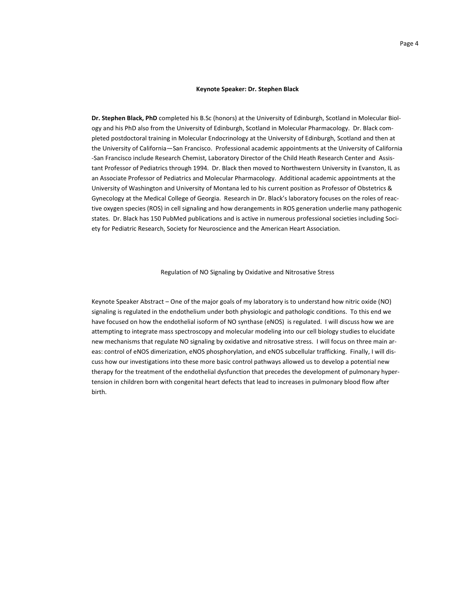#### **Keynote Speaker: Dr. Stephen Black**

**Dr. Stephen Black, PhD** completed his B.Sc (honors) at the University of Edinburgh, Scotland in Molecular Biology and his PhD also from the University of Edinburgh, Scotland in Molecular Pharmacology. Dr. Black completed postdoctoral training in Molecular Endocrinology at the University of Edinburgh, Scotland and then at the University of California—San Francisco. Professional academic appointments at the University of California -San Francisco include Research Chemist, Laboratory Director of the Child Heath Research Center and Assistant Professor of Pediatrics through 1994. Dr. Black then moved to Northwestern University in Evanston, IL as an Associate Professor of Pediatrics and Molecular Pharmacology. Additional academic appointments at the University of Washington and University of Montana led to his current position as Professor of Obstetrics & Gynecology at the Medical College of Georgia. Research in Dr. Black's laboratory focuses on the roles of reactive oxygen species (ROS) in cell signaling and how derangements in ROS generation underlie many pathogenic states. Dr. Black has 150 PubMed publications and is active in numerous professional societies including Society for Pediatric Research, Society for Neuroscience and the American Heart Association.

#### Regulation of NO Signaling by Oxidative and Nitrosative Stress

Keynote Speaker Abstract – One of the major goals of my laboratory is to understand how nitric oxide (NO) signaling is regulated in the endothelium under both physiologic and pathologic conditions. To this end we have focused on how the endothelial isoform of NO synthase (eNOS) is regulated. I will discuss how we are attempting to integrate mass spectroscopy and molecular modeling into our cell biology studies to elucidate new mechanisms that regulate NO signaling by oxidative and nitrosative stress. I will focus on three main areas: control of eNOS dimerization, eNOS phosphorylation, and eNOS subcellular trafficking. Finally, I will discuss how our investigations into these more basic control pathways allowed us to develop a potential new therapy for the treatment of the endothelial dysfunction that precedes the development of pulmonary hypertension in children born with congenital heart defects that lead to increases in pulmonary blood flow after birth.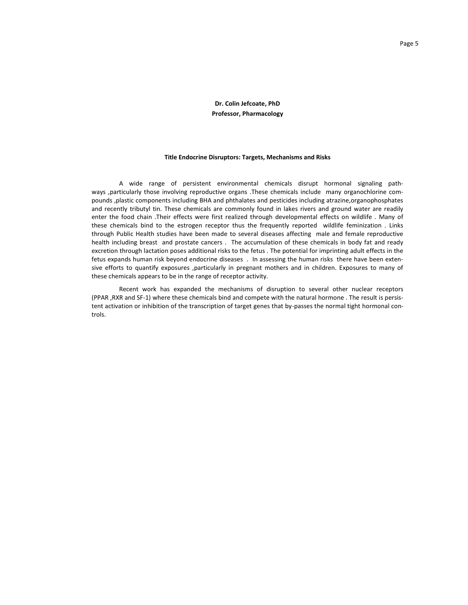**Dr. Colin Jefcoate, PhD Professor, Pharmacology**

#### **Title Endocrine Disruptors: Targets, Mechanisms and Risks**

A wide range of persistent environmental chemicals disrupt hormonal signaling pathways ,particularly those involving reproductive organs .These chemicals include many organochlorine compounds ,plastic components including BHA and phthalates and pesticides including atrazine,organophosphates and recently tributyl tin. These chemicals are commonly found in lakes rivers and ground water are readily enter the food chain .Their effects were first realized through developmental effects on wildlife . Many of these chemicals bind to the estrogen receptor thus the frequently reported wildlife feminization . Links through Public Health studies have been made to several diseases affecting male and female reproductive health including breast and prostate cancers . The accumulation of these chemicals in body fat and ready excretion through lactation poses additional risks to the fetus . The potential for imprinting adult effects in the fetus expands human risk beyond endocrine diseases . In assessing the human risks there have been extensive efforts to quantify exposures ,particularly in pregnant mothers and in children. Exposures to many of these chemicals appears to be in the range of receptor activity.

Recent work has expanded the mechanisms of disruption to several other nuclear receptors (PPAR ,RXR and SF-1) where these chemicals bind and compete with the natural hormone . The result is persistent activation or inhibition of the transcription of target genes that by-passes the normal tight hormonal controls.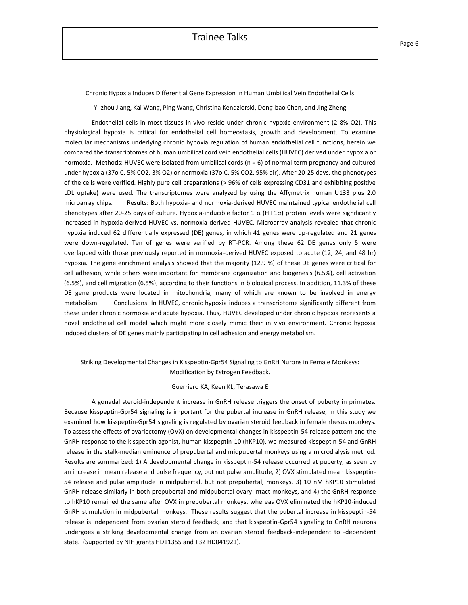Chronic Hypoxia Induces Differential Gene Expression In Human Umbilical Vein Endothelial Cells

Yi-zhou Jiang, Kai Wang, Ping Wang, Christina Kendziorski, Dong-bao Chen, and Jing Zheng

Endothelial cells in most tissues in vivo reside under chronic hypoxic environment (2-8% O2). This physiological hypoxia is critical for endothelial cell homeostasis, growth and development. To examine molecular mechanisms underlying chronic hypoxia regulation of human endothelial cell functions, herein we compared the transcriptomes of human umbilical cord vein endothelial cells (HUVEC) derived under hypoxia or normoxia. Methods: HUVEC were isolated from umbilical cords (n = 6) of normal term pregnancy and cultured under hypoxia (37o C, 5% CO2, 3% O2) or normoxia (37o C, 5% CO2, 95% air). After 20-25 days, the phenotypes of the cells were verified. Highly pure cell preparations (> 96% of cells expressing CD31 and exhibiting positive LDL uptake) were used. The transcriptomes were analyzed by using the Affymetrix human U133 plus 2.0 microarray chips. Results: Both hypoxia- and normoxia-derived HUVEC maintained typical endothelial cell phenotypes after 20-25 days of culture. Hypoxia-inducible factor 1  $\alpha$  (HIF1 $\alpha$ ) protein levels were significantly increased in hypoxia-derived HUVEC vs. normoxia-derived HUVEC. Microarray analysis revealed that chronic hypoxia induced 62 differentially expressed (DE) genes, in which 41 genes were up-regulated and 21 genes were down-regulated. Ten of genes were verified by RT-PCR. Among these 62 DE genes only 5 were overlapped with those previously reported in normoxia-derived HUVEC exposed to acute (12, 24, and 48 hr) hypoxia. The gene enrichment analysis showed that the majority (12.9 %) of these DE genes were critical for cell adhesion, while others were important for membrane organization and biogenesis (6.5%), cell activation (6.5%), and cell migration (6.5%), according to their functions in biological process. In addition, 11.3% of these DE gene products were located in mitochondria, many of which are known to be involved in energy metabolism. Conclusions: In HUVEC, chronic hypoxia induces a transcriptome significantly different from these under chronic normoxia and acute hypoxia. Thus, HUVEC developed under chronic hypoxia represents a novel endothelial cell model which might more closely mimic their in vivo environment. Chronic hypoxia induced clusters of DE genes mainly participating in cell adhesion and energy metabolism.

## Striking Developmental Changes in Kisspeptin-Gpr54 Signaling to GnRH Nurons in Female Monkeys: Modification by Estrogen Feedback.

#### Guerriero KA, Keen KL, Terasawa E

A gonadal steroid-independent increase in GnRH release triggers the onset of puberty in primates. Because kisspeptin-Gpr54 signaling is important for the pubertal increase in GnRH release, in this study we examined how kisspeptin-Gpr54 signaling is regulated by ovarian steroid feedback in female rhesus monkeys. To assess the effects of ovariectomy (OVX) on developmental changes in kisspeptin-54 release pattern and the GnRH response to the kisspeptin agonist, human kisspeptin-10 (hKP10), we measured kisspeptin-54 and GnRH release in the stalk-median eminence of prepubertal and midpubertal monkeys using a microdialysis method. Results are summarized: 1) A developmental change in kisspeptin-54 release occurred at puberty, as seen by an increase in mean release and pulse frequency, but not pulse amplitude, 2) OVX stimulated mean kisspeptin-54 release and pulse amplitude in midpubertal, but not prepubertal, monkeys, 3) 10 nM hKP10 stimulated GnRH release similarly in both prepubertal and midpubertal ovary-intact monkeys, and 4) the GnRH response to hKP10 remained the same after OVX in prepubertal monkeys, whereas OVX eliminated the hKP10-induced GnRH stimulation in midpubertal monkeys. These results suggest that the pubertal increase in kisspeptin-54 release is independent from ovarian steroid feedback, and that kisspeptin-Gpr54 signaling to GnRH neurons undergoes a striking developmental change from an ovarian steroid feedback-independent to -dependent state. (Supported by NIH grants HD11355 and T32 HD041921).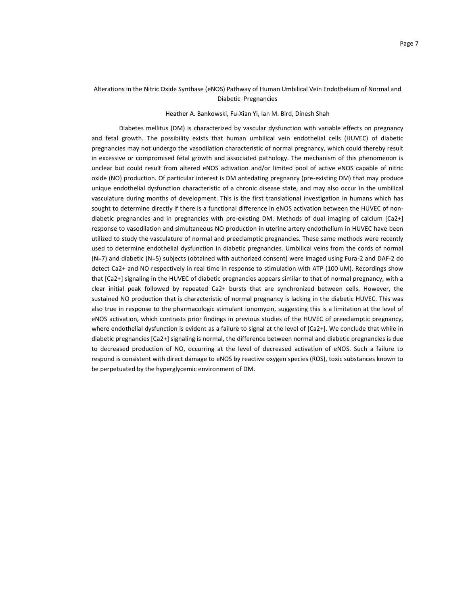## Alterations in the Nitric Oxide Synthase (eNOS) Pathway of Human Umbilical Vein Endothelium of Normal and Diabetic Pregnancies

Heather A. Bankowski, Fu-Xian Yi, Ian M. Bird, Dinesh Shah

Diabetes mellitus (DM) is characterized by vascular dysfunction with variable effects on pregnancy and fetal growth. The possibility exists that human umbilical vein endothelial cells (HUVEC) of diabetic pregnancies may not undergo the vasodilation characteristic of normal pregnancy, which could thereby result in excessive or compromised fetal growth and associated pathology. The mechanism of this phenomenon is unclear but could result from altered eNOS activation and/or limited pool of active eNOS capable of nitric oxide (NO) production. Of particular interest is DM antedating pregnancy (pre-existing DM) that may produce unique endothelial dysfunction characteristic of a chronic disease state, and may also occur in the umbilical vasculature during months of development. This is the first translational investigation in humans which has sought to determine directly if there is a functional difference in eNOS activation between the HUVEC of nondiabetic pregnancies and in pregnancies with pre-existing DM. Methods of dual imaging of calcium [Ca2+] response to vasodilation and simultaneous NO production in uterine artery endothelium in HUVEC have been utilized to study the vasculature of normal and preeclamptic pregnancies. These same methods were recently used to determine endothelial dysfunction in diabetic pregnancies. Umbilical veins from the cords of normal (N=7) and diabetic (N=5) subjects (obtained with authorized consent) were imaged using Fura-2 and DAF-2 do detect Ca2+ and NO respectively in real time in response to stimulation with ATP (100 uM). Recordings show that [Ca2+] signaling in the HUVEC of diabetic pregnancies appears similar to that of normal pregnancy, with a clear initial peak followed by repeated Ca2+ bursts that are synchronized between cells. However, the sustained NO production that is characteristic of normal pregnancy is lacking in the diabetic HUVEC. This was also true in response to the pharmacologic stimulant ionomycin, suggesting this is a limitation at the level of eNOS activation, which contrasts prior findings in previous studies of the HUVEC of preeclamptic pregnancy, where endothelial dysfunction is evident as a failure to signal at the level of [Ca2+]. We conclude that while in diabetic pregnancies [Ca2+] signaling is normal, the difference between normal and diabetic pregnancies is due to decreased production of NO, occurring at the level of decreased activation of eNOS. Such a failure to respond is consistent with direct damage to eNOS by reactive oxygen species (ROS), toxic substances known to be perpetuated by the hyperglycemic environment of DM.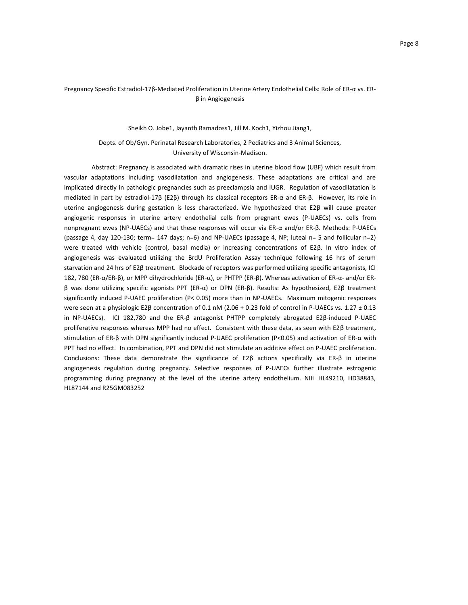Page 8

## Pregnancy Specific Estradiol-17β-Mediated Proliferation in Uterine Artery Endothelial Cells: Role of ER-α vs. ERβ in Angiogenesis

Sheikh O. Jobe1, Jayanth Ramadoss1, Jill M. Koch1, Yizhou Jiang1,

Depts. of Ob/Gyn. Perinatal Research Laboratories, 2 Pediatrics and 3 Animal Sciences, University of Wisconsin-Madison.

Abstract: Pregnancy is associated with dramatic rises in uterine blood flow (UBF) which result from vascular adaptations including vasodilatation and angiogenesis. These adaptations are critical and are implicated directly in pathologic pregnancies such as preeclampsia and IUGR. Regulation of vasodilatation is mediated in part by estradiol-17β (E2β) through its classical receptors ER-α and ER-β. However, its role in uterine angiogenesis during gestation is less characterized. We hypothesized that E2β will cause greater angiogenic responses in uterine artery endothelial cells from pregnant ewes (P-UAECs) vs. cells from nonpregnant ewes (NP-UAECs) and that these responses will occur via ER-α and/or ER-β. Methods: P-UAECs (passage 4, day 120-130; term= 147 days; n=6) and NP-UAECs (passage 4, NP; luteal n= 5 and follicular n=2) were treated with vehicle (control, basal media) or increasing concentrations of E2β. In vitro index of angiogenesis was evaluated utilizing the BrdU Proliferation Assay technique following 16 hrs of serum starvation and 24 hrs of E2β treatment. Blockade of receptors was performed utilizing specific antagonists, ICI 182, 780 (ER-α/ER-β), or MPP dihydrochloride (ER-α), or PHTPP (ER-β). Whereas activation of ER-α- and/or ERβ was done utilizing specific agonists PPT (ER-α) or DPN (ER-β). Results: As hypothesized, E2β treatment significantly induced P-UAEC proliferation (P< 0.05) more than in NP-UAECs. Maximum mitogenic responses were seen at a physiologic E2β concentration of 0.1 nM (2.06 + 0.23 fold of control in P-UAECs vs. 1.27 ± 0.13 in NP-UAECs). ICI 182,780 and the ER-β antagonist PHTPP completely abrogated E2β-induced P-UAEC proliferative responses whereas MPP had no effect. Consistent with these data, as seen with E2β treatment, stimulation of ER-β with DPN significantly induced P-UAEC proliferation (P<0.05) and activation of ER-α with PPT had no effect. In combination, PPT and DPN did not stimulate an additive effect on P-UAEC proliferation. Conclusions: These data demonstrate the significance of E2β actions specifically via ER-β in uterine angiogenesis regulation during pregnancy. Selective responses of P-UAECs further illustrate estrogenic programming during pregnancy at the level of the uterine artery endothelium. NIH HL49210, HD38843, HL87144 and R25GM083252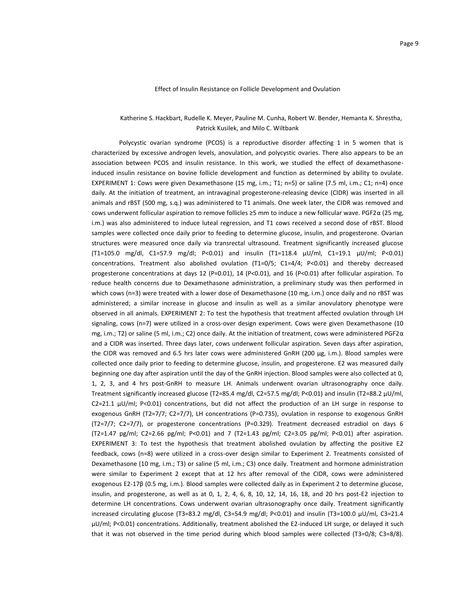#### Effect of Insulin Resistance on Follicle Development and Ovulation

## Katherine S. Hackbart, Rudelle K. Meyer, Pauline M. Cunha, Robert W. Bender, Hemanta K. Shrestha, Patrick Kusilek, and Milo C. Wiltbank

Polycystic ovarian syndrome (PCOS) is a reproductive disorder affecting 1 in 5 women that is characterized by excessive androgen levels, anovulation, and polycystic ovaries. There also appears to be an association between PCOS and insulin resistance. In this work, we studied the effect of dexamethasoneinduced insulin resistance on bovine follicle development and function as determined by ability to ovulate. EXPERIMENT 1: Cows were given Dexamethasone (15 mg, i.m.; T1; n=5) or saline (7.5 ml, i.m.; C1; n=4) once daily. At the initiation of treatment, an intravaginal progesterone-releasing device (CIDR) was inserted in all animals and rBST (500 mg, s.q.) was administered to T1 animals. One week later, the CIDR was removed and cows underwent follicular aspiration to remove follicles ≥5 mm to induce a new follicular wave. PGF2α (25 mg, i.m.) was also administered to induce luteal regression, and T1 cows received a second dose of rBST. Blood samples were collected once daily prior to feeding to determine glucose, insulin, and progesterone. Ovarian structures were measured once daily via transrectal ultrasound. Treatment significantly increased glucose (T1=105.0 mg/dl, C1=57.9 mg/dl; P<0.01) and insulin (T1=118.4 µU/ml, C1=19.1 µU/ml; P<0.01) concentrations. Treatment also abolished ovulation (T1=0/5; C1=4/4; P<0.01) and thereby decreased progesterone concentrations at days 12 (P=0.01), 14 (P<0.01), and 16 (P<0.01) after follicular aspiration. To reduce health concerns due to Dexamethasone administration, a preliminary study was then performed in which cows (n=3) were treated with a lower dose of Dexamethasone (10 mg, i.m.) once daily and no rBST was administered; a similar increase in glucose and insulin as well as a similar anovulatory phenotype were observed in all animals. EXPERIMENT 2: To test the hypothesis that treatment affected ovulation through LH signaling, cows (n=7) were utilized in a cross-over design experiment. Cows were given Dexamethasone (10 mg, i.m.; T2) or saline (5 ml, i.m.; C2) once daily. At the initiation of treatment, cows were administered PGF2α and a CIDR was inserted. Three days later, cows underwent follicular aspiration. Seven days after aspiration, the CIDR was removed and 6.5 hrs later cows were administered GnRH (200 µg, i.m.). Blood samples were collected once daily prior to feeding to determine glucose, insulin, and progesterone. E2 was measured daily beginning one day after aspiration until the day of the GnRH injection. Blood samples were also collected at 0, 1, 2, 3, and 4 hrs post-GnRH to measure LH. Animals underwent ovarian ultrasonography once daily. Treatment significantly increased glucose (T2=85.4 mg/dl, C2=57.5 mg/dl; P<0.01) and insulin (T2=88.2 µU/ml, C2=21.1  $\mu$ U/ml; P<0.01) concentrations, but did not affect the production of an LH surge in response to exogenous GnRH (T2=7/7; C2=7/7), LH concentrations (P=0.735), ovulation in response to exogenous GnRH (T2=7/7; C2=7/7), or progesterone concentrations (P=0.329). Treatment decreased estradiol on days 6 (T2=1.47 pg/ml; C2=2.66 pg/ml; P<0.01) and 7 (T2=1.43 pg/ml; C2=3.05 pg/ml; P<0.01) after aspiration. EXPERIMENT 3: To test the hypothesis that treatment abolished ovulation by affecting the positive E2 feedback, cows (n=8) were utilized in a cross-over design similar to Experiment 2. Treatments consisted of Dexamethasone (10 mg, i.m.; T3) or saline (5 ml, i.m.; C3) once daily. Treatment and hormone administration were similar to Experiment 2 except that at 12 hrs after removal of the CIDR, cows were administered exogenous E2-17β (0.5 mg, i.m.). Blood samples were collected daily as in Experiment 2 to determine glucose, insulin, and progesterone, as well as at 0, 1, 2, 4, 6, 8, 10, 12, 14, 16, 18, and 20 hrs post-E2 injection to determine LH concentrations. Cows underwent ovarian ultrasonography once daily. Treatment significantly increased circulating glucose (T3=83.2 mg/dl, C3=54.9 mg/dl; P<0.01) and insulin (T3=100.0 µU/ml, C3=21.4 µU/ml; P<0.01) concentrations. Additionally, treatment abolished the E2-induced LH surge, or delayed it such that it was not observed in the time period during which blood samples were collected (T3=0/8; C3=8/8).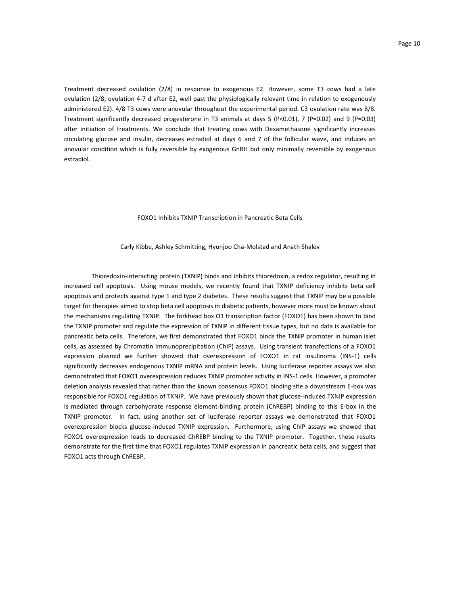Treatment decreased ovulation (2/8) in response to exogenous E2. However, some T3 cows had a late ovulation (2/8; ovulation 4-7 d after E2, well past the physiologically relevant time in relation to exogenously administered E2). 4/8 T3 cows were anovular throughout the experimental period. C3 ovulation rate was 8/8. Treatment significantly decreased progesterone in T3 animals at days 5 (P<0.01), 7 (P=0.02) and 9 (P=0.03) after initiation of treatments. We conclude that treating cows with Dexamethasone significantly increases circulating glucose and insulin, decreases estradiol at days 6 and 7 of the follicular wave, and induces an anovular condition which is fully reversible by exogenous GnRH but only minimally reversible by exogenous estradiol.

#### FOXO1 Inhibits TXNIP Transcription in Pancreatic Beta Cells

#### Carly Kibbe, Ashley Schmitting, Hyunjoo Cha-Molstad and Anath Shalev

Thioredoxin-interacting protein (TXNIP) binds and inhibits thioredoxin, a redox regulator, resulting in increased cell apoptosis. Using mouse models, we recently found that TXNIP deficiency inhibits beta cell apoptosis and protects against type 1 and type 2 diabetes. These results suggest that TXNIP may be a possible target for therapies aimed to stop beta cell apoptosis in diabetic patients, however more must be known about the mechanisms regulating TXNIP. The forkhead box O1 transcription factor (FOXO1) has been shown to bind the TXNIP promoter and regulate the expression of TXNIP in different tissue types, but no data is available for pancreatic beta cells. Therefore, we first demonstrated that FOXO1 binds the TXNIP promoter in human islet cells, as assessed by Chromatin Immunoprecipitation (ChIP) assays. Using transient transfections of a FOXO1 expression plasmid we further showed that overexpression of FOXO1 in rat insulinoma (INS-1) cells significantly decreases endogenous TXNIP mRNA and protein levels. Using luciferase reporter assays we also demonstrated that FOXO1 overexpression reduces TXNIP promoter activity in INS-1 cells. However, a promoter deletion analysis revealed that rather than the known consensus FOXO1 binding site a downstream E-box was responsible for FOXO1 regulation of TXNIP. We have previously shown that glucose-induced TXNIP expression is mediated through carbohydrate response element-binding protein (ChREBP) binding to this E-box in the TXNIP promoter. In fact, using another set of luciferase reporter assays we demonstrated that FOXO1 overexpression blocks glucose-induced TXNIP expression. Furthermore, using ChIP assays we showed that FOXO1 overexpression leads to decreased ChREBP binding to the TXNIP promoter. Together, these results demonstrate for the first time that FOXO1 regulates TXNIP expression in pancreatic beta cells, and suggest that FOXO1 acts through ChREBP.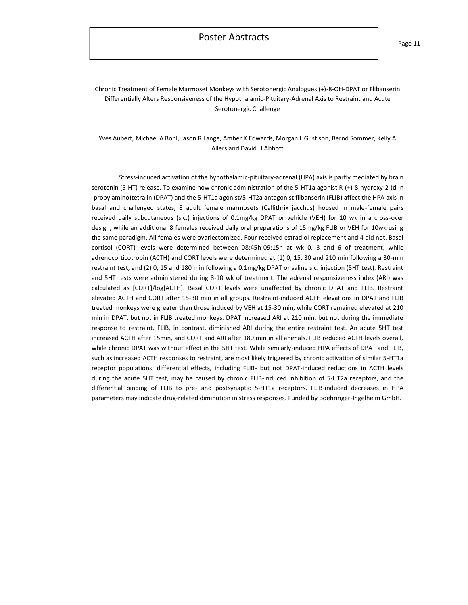## Poster Abstracts

## Chronic Treatment of Female Marmoset Monkeys with Serotonergic Analogues (+)-8-OH-DPAT or Flibanserin Differentially Alters Responsiveness of the Hypothalamic-Pituitary-Adrenal Axis to Restraint and Acute Serotonergic Challenge

## Yves Aubert, Michael A Bohl, Jason R Lange, Amber K Edwards, Morgan L Gustison, Bernd Sommer, Kelly A Allers and David H Abbott

Stress-induced activation of the hypothalamic-pituitary-adrenal (HPA) axis is partly mediated by brain serotonin (5-HT) release. To examine how chronic administration of the 5-HT1a agonist R-(+)-8-hydroxy-2-(di-n -propylamino)tetralin (DPAT) and the 5-HT1a agonist/5-HT2a antagonist flibanserin (FLIB) affect the HPA axis in basal and challenged states, 8 adult female marmosets (Callithrix jacchus) housed in male-female pairs received daily subcutaneous (s.c.) injections of 0.1mg/kg DPAT or vehicle (VEH) for 10 wk in a cross-over design, while an additional 8 females received daily oral preparations of 15mg/kg FLIB or VEH for 10wk using the same paradigm. All females were ovariectomized. Four received estradiol replacement and 4 did not. Basal cortisol (CORT) levels were determined between 08:45h-09:15h at wk 0, 3 and 6 of treatment, while adrenocorticotropin (ACTH) and CORT levels were determined at (1) 0, 15, 30 and 210 min following a 30-min restraint test, and (2) 0, 15 and 180 min following a 0.1mg/kg DPAT or saline s.c. injection (5HT test). Restraint and 5HT tests were administered during 8-10 wk of treatment. The adrenal responsiveness index (ARI) was calculated as [CORT]/log[ACTH]. Basal CORT levels were unaffected by chronic DPAT and FLIB. Restraint elevated ACTH and CORT after 15-30 min in all groups. Restraint-induced ACTH elevations in DPAT and FLIB treated monkeys were greater than those induced by VEH at 15-30 min, while CORT remained elevated at 210 min in DPAT, but not in FLIB treated monkeys. DPAT increased ARI at 210 min, but not during the immediate response to restraint. FLIB, in contrast, diminished ARI during the entire restraint test. An acute 5HT test increased ACTH after 15min, and CORT and ARI after 180 min in all animals. FLIB reduced ACTH levels overall, while chronic DPAT was without effect in the 5HT test. While similarly-induced HPA effects of DPAT and FLIB, such as increased ACTH responses to restraint, are most likely triggered by chronic activation of similar 5-HT1a receptor populations, differential effects, including FLIB- but not DPAT-induced reductions in ACTH levels during the acute 5HT test, may be caused by chronic FLIB-induced inhibition of 5-HT2a receptors, and the differential binding of FLIB to pre- and postsynaptic 5-HT1a receptors. FLIB-induced decreases in HPA parameters may indicate drug-related diminution in stress responses. Funded by Boehringer-Ingelheim GmbH.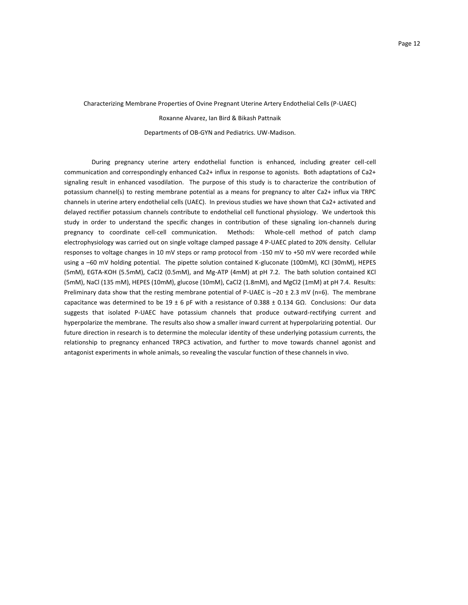#### Characterizing Membrane Properties of Ovine Pregnant Uterine Artery Endothelial Cells (P-UAEC)

Roxanne Alvarez, Ian Bird & Bikash Pattnaik

Departments of OB-GYN and Pediatrics. UW-Madison.

During pregnancy uterine artery endothelial function is enhanced, including greater cell-cell communication and correspondingly enhanced Ca2+ influx in response to agonists. Both adaptations of Ca2+ signaling result in enhanced vasodilation. The purpose of this study is to characterize the contribution of potassium channel(s) to resting membrane potential as a means for pregnancy to alter Ca2+ influx via TRPC channels in uterine artery endothelial cells (UAEC). In previous studies we have shown that Ca2+ activated and delayed rectifier potassium channels contribute to endothelial cell functional physiology. We undertook this study in order to understand the specific changes in contribution of these signaling ion-channels during pregnancy to coordinate cell-cell communication. Methods: Whole-cell method of patch clamp electrophysiology was carried out on single voltage clamped passage 4 P-UAEC plated to 20% density. Cellular responses to voltage changes in 10 mV steps or ramp protocol from -150 mV to +50 mV were recorded while using a –60 mV holding potential. The pipette solution contained K-gluconate (100mM), KCl (30mM), HEPES (5mM), EGTA-KOH (5.5mM), CaCl2 (0.5mM), and Mg-ATP (4mM) at pH 7.2. The bath solution contained KCl (5mM), NaCl (135 mM), HEPES (10mM), glucose (10mM), CaCl2 (1.8mM), and MgCl2 (1mM) at pH 7.4. Results: Preliminary data show that the resting membrane potential of P-UAEC is  $-20 \pm 2.3$  mV (n=6). The membrane capacitance was determined to be 19 ± 6 pF with a resistance of 0.388 ± 0.134 GΩ. Conclusions: Our data suggests that isolated P-UAEC have potassium channels that produce outward-rectifying current and hyperpolarize the membrane. The results also show a smaller inward current at hyperpolarizing potential. Our future direction in research is to determine the molecular identity of these underlying potassium currents, the relationship to pregnancy enhanced TRPC3 activation, and further to move towards channel agonist and antagonist experiments in whole animals, so revealing the vascular function of these channels in vivo.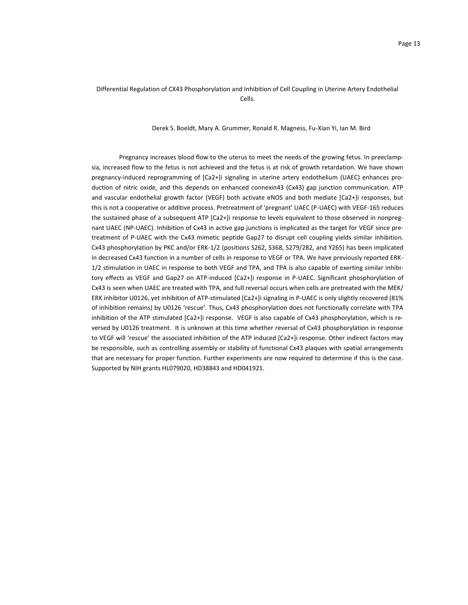## Differential Regulation of CX43 Phosphorylation and Inhibition of Cell Coupling in Uterine Artery Endothelial Cells.

#### Derek S. Boeldt, Mary A. Grummer, Ronald R. Magness, Fu-Xian Yi, Ian M. Bird

Pregnancy increases blood flow to the uterus to meet the needs of the growing fetus. In preeclampsia, increased flow to the fetus is not achieved and the fetus is at risk of growth retardation. We have shown pregnancy-induced reprogramming of [Ca2+]i signaling in uterine artery endothelium (UAEC) enhances production of nitric oxide, and this depends on enhanced connexin43 (Cx43) gap junction communication. ATP and vascular endothelial growth factor (VEGF) both activate eNOS and both mediate [Ca2+]i responses, but this is not a cooperative or additive process. Pretreatment of 'pregnant' UAEC (P-UAEC) with VEGF-165 reduces the sustained phase of a subsequent ATP [Ca2+]i response to levels equivalent to those observed in nonpregnant UAEC (NP-UAEC). Inhibition of Cx43 in active gap junctions is implicated as the target for VEGF since pretreatment of P-UAEC with the Cx43 mimetic peptide Gap27 to disrupt cell coupling yields similar inhibition. Cx43 phosphorylation by PKC and/or ERK-1/2 (positions S262, S368, S279/282, and Y265) has been implicated in decreased Cx43 function in a number of cells in response to VEGF or TPA. We have previously reported ERK-1/2 stimulation in UAEC in response to both VEGF and TPA, and TPA is also capable of exerting similar inhibitory effects as VEGF and Gap27 on ATP-induced [Ca2+]i response in P-UAEC. Significant phosphorylation of Cx43 is seen when UAEC are treated with TPA, and full reversal occurs when cells are pretreated with the MEK/ ERK inhibitor U0126, yet inhibition of ATP-stimulated [Ca2+]i signaling in P-UAEC is only slightly recovered (81% of inhibition remains) by U0126 'rescue'. Thus, Cx43 phosphorylation does not functionally correlate with TPA inhibition of the ATP stimulated [Ca2+]i response. VEGF is also capable of Cx43 phosphorylation, which is reversed by U0126 treatment. It is unknown at this time whether reversal of Cx43 phosphorylation in response to VEGF will 'rescue' the associated inhibition of the ATP induced [Ca2+]i response. Other indirect factors may be responsible, such as controlling assembly or stability of functional Cx43 plaques with spatial arrangements that are necessary for proper function. Further experiments are now required to determine if this is the case. Supported by NIH grants HL079020, HD38843 and HD041921.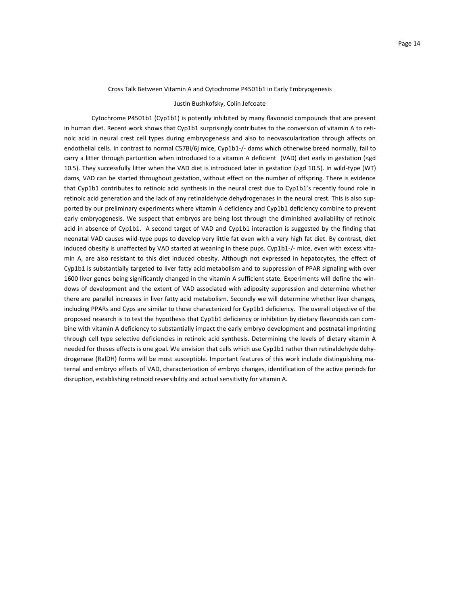#### Cross Talk Between Vitamin A and Cytochrome P4501b1 in Early Embryogenesis

#### Justin Bushkofsky, Colin Jefcoate

Cytochrome P4501b1 (Cyp1b1) is potently inhibited by many flavonoid compounds that are present in human diet. Recent work shows that Cyp1b1 surprisingly contributes to the conversion of vitamin A to retinoic acid in neural crest cell types during embryogenesis and also to neovascularization through affects on endothelial cells. In contrast to normal C57Bl/6j mice, Cyp1b1-/- dams which otherwise breed normally, fail to carry a litter through parturition when introduced to a vitamin A deficient (VAD) diet early in gestation (<gd 10.5). They successfully litter when the VAD diet is introduced later in gestation (>gd 10.5). In wild-type (WT) dams, VAD can be started throughout gestation, without effect on the number of offspring. There is evidence that Cyp1b1 contributes to retinoic acid synthesis in the neural crest due to Cyp1b1's recently found role in retinoic acid generation and the lack of any retinaldehyde dehydrogenases in the neural crest. This is also supported by our preliminary experiments where vitamin A deficiency and Cyp1b1 deficiency combine to prevent early embryogenesis. We suspect that embryos are being lost through the diminished availability of retinoic acid in absence of Cyp1b1. A second target of VAD and Cyp1b1 interaction is suggested by the finding that neonatal VAD causes wild-type pups to develop very little fat even with a very high fat diet. By contrast, diet induced obesity is unaffected by VAD started at weaning in these pups. Cyp1b1-/- mice, even with excess vitamin A, are also resistant to this diet induced obesity. Although not expressed in hepatocytes, the effect of Cyp1b1 is substantially targeted to liver fatty acid metabolism and to suppression of PPAR signaling with over 1600 liver genes being significantly changed in the vitamin A sufficient state. Experiments will define the windows of development and the extent of VAD associated with adiposity suppression and determine whether there are parallel increases in liver fatty acid metabolism. Secondly we will determine whether liver changes, including PPARs and Cyps are similar to those characterized for Cyp1b1 deficiency. The overall objective of the proposed research is to test the hypothesis that Cyp1b1 deficiency or inhibition by dietary flavonoids can combine with vitamin A deficiency to substantially impact the early embryo development and postnatal imprinting through cell type selective deficiencies in retinoic acid synthesis. Determining the levels of dietary vitamin A needed for theses effects is one goal. We envision that cells which use Cyp1b1 rather than retinaldehyde dehydrogenase (RalDH) forms will be most susceptible. Important features of this work include distinguishing maternal and embryo effects of VAD, characterization of embryo changes, identification of the active periods for disruption, establishing retinoid reversibility and actual sensitivity for vitamin A.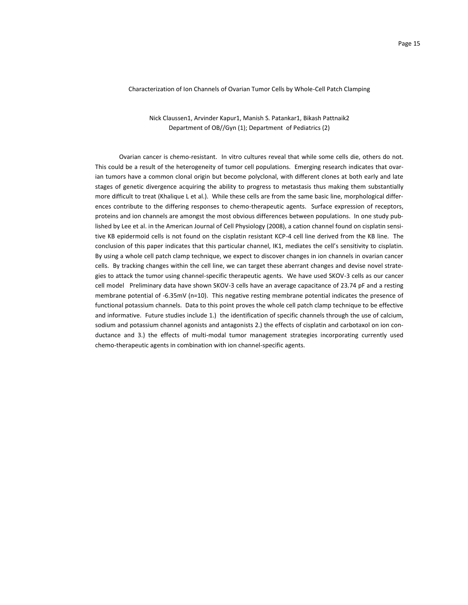#### Characterization of Ion Channels of Ovarian Tumor Cells by Whole-Cell Patch Clamping

## Nick Claussen1, Arvinder Kapur1, Manish S. Patankar1, Bikash Pattnaik2 Department of OB//Gyn (1); Department of Pediatrics (2)

Ovarian cancer is chemo-resistant. In vitro cultures reveal that while some cells die, others do not. This could be a result of the heterogeneity of tumor cell populations. Emerging research indicates that ovarian tumors have a common clonal origin but become polyclonal, with different clones at both early and late stages of genetic divergence acquiring the ability to progress to metastasis thus making them substantially more difficult to treat (Khalique L et al.). While these cells are from the same basic line, morphological differences contribute to the differing responses to chemo-therapeutic agents. Surface expression of receptors, proteins and ion channels are amongst the most obvious differences between populations. In one study published by Lee et al. in the American Journal of Cell Physiology (2008), a cation channel found on cisplatin sensitive KB epidermoid cells is not found on the cisplatin resistant KCP-4 cell line derived from the KB line. The conclusion of this paper indicates that this particular channel, IK1, mediates the cell's sensitivity to cisplatin. By using a whole cell patch clamp technique, we expect to discover changes in ion channels in ovarian cancer cells. By tracking changes within the cell line, we can target these aberrant changes and devise novel strategies to attack the tumor using channel-specific therapeutic agents. We have used SKOV-3 cells as our cancer cell model Preliminary data have shown SKOV-3 cells have an average capacitance of 23.74 pF and a resting membrane potential of -6.35mV (n=10). This negative resting membrane potential indicates the presence of functional potassium channels. Data to this point proves the whole cell patch clamp technique to be effective and informative. Future studies include 1.) the identification of specific channels through the use of calcium, sodium and potassium channel agonists and antagonists 2.) the effects of cisplatin and carbotaxol on ion conductance and 3.) the effects of multi-modal tumor management strategies incorporating currently used chemo-therapeutic agents in combination with ion channel-specific agents.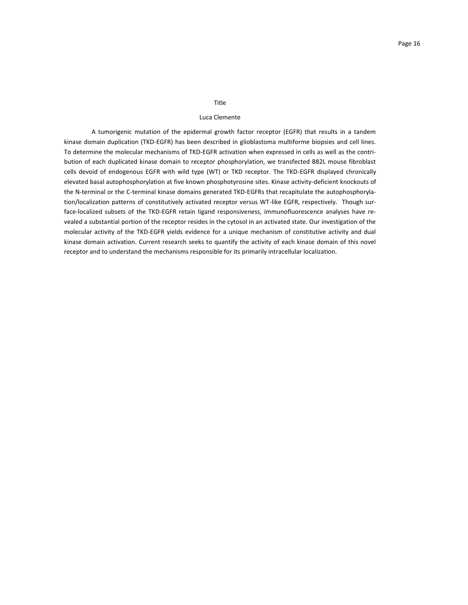#### Title

## Luca Clemente

A tumorigenic mutation of the epidermal growth factor receptor (EGFR) that results in a tandem kinase domain duplication (TKD-EGFR) has been described in glioblastoma multiforme biopsies and cell lines. To determine the molecular mechanisms of TKD-EGFR activation when expressed in cells as well as the contribution of each duplicated kinase domain to receptor phosphorylation, we transfected B82L mouse fibroblast cells devoid of endogenous EGFR with wild type (WT) or TKD receptor. The TKD-EGFR displayed chronically elevated basal autophosphorylation at five known phosphotyrosine sites. Kinase activity-deficient knockouts of the N-terminal or the C-terminal kinase domains generated TKD-EGFRs that recapitulate the autophosphorylation/localization patterns of constitutively activated receptor versus WT-like EGFR, respectively. Though surface-localized subsets of the TKD-EGFR retain ligand responsiveness, immunofluorescence analyses have revealed a substantial portion of the receptor resides in the cytosol in an activated state. Our investigation of the molecular activity of the TKD-EGFR yields evidence for a unique mechanism of constitutive activity and dual kinase domain activation. Current research seeks to quantify the activity of each kinase domain of this novel receptor and to understand the mechanisms responsible for its primarily intracellular localization.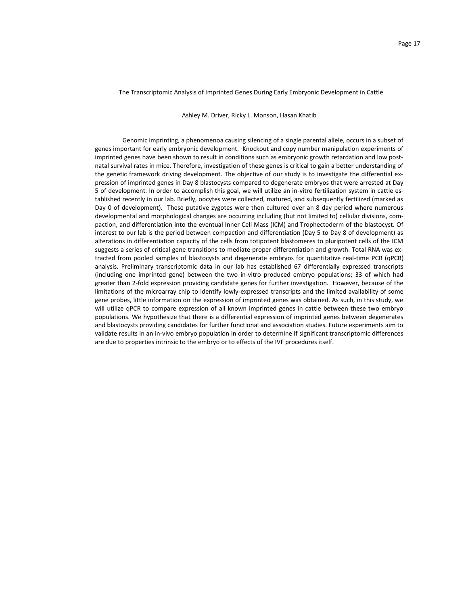The Transcriptomic Analysis of Imprinted Genes During Early Embryonic Development in Cattle

Ashley M. Driver, Ricky L. Monson, Hasan Khatib

Genomic imprinting, a phenomenoa causing silencing of a single parental allele, occurs in a subset of genes important for early embryonic development. Knockout and copy number manipulation experiments of imprinted genes have been shown to result in conditions such as embryonic growth retardation and low postnatal survival rates in mice. Therefore, investigation of these genes is critical to gain a better understanding of the genetic framework driving development. The objective of our study is to investigate the differential expression of imprinted genes in Day 8 blastocysts compared to degenerate embryos that were arrested at Day 5 of development. In order to accomplish this goal, we will utilize an in-vitro fertilization system in cattle established recently in our lab. Briefly, oocytes were collected, matured, and subsequently fertilized (marked as Day 0 of development). These putative zygotes were then cultured over an 8 day period where numerous developmental and morphological changes are occurring including (but not limited to) cellular divisions, compaction, and differentiation into the eventual Inner Cell Mass (ICM) and Trophectoderm of the blastocyst. Of interest to our lab is the period between compaction and differentiation (Day 5 to Day 8 of development) as alterations in differentiation capacity of the cells from totipotent blastomeres to pluripotent cells of the ICM suggests a series of critical gene transitions to mediate proper differentiation and growth. Total RNA was extracted from pooled samples of blastocysts and degenerate embryos for quantitative real-time PCR (qPCR) analysis. Preliminary transcriptomic data in our lab has established 67 differentially expressed transcripts (including one imprinted gene) between the two in-vitro produced embryo populations; 33 of which had greater than 2-fold expression providing candidate genes for further investigation. However, because of the limitations of the microarray chip to identify lowly-expressed transcripts and the limited availability of some gene probes, little information on the expression of imprinted genes was obtained. As such, in this study, we will utilize qPCR to compare expression of all known imprinted genes in cattle between these two embryo populations. We hypothesize that there is a differential expression of imprinted genes between degenerates and blastocysts providing candidates for further functional and association studies. Future experiments aim to validate results in an in-vivo embryo population in order to determine if significant transcriptomic differences are due to properties intrinsic to the embryo or to effects of the IVF procedures itself.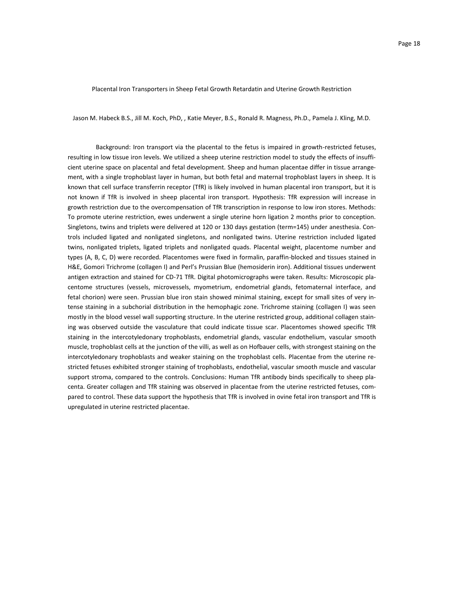#### Placental Iron Transporters in Sheep Fetal Growth Retardatin and Uterine Growth Restriction

Jason M. Habeck B.S., Jill M. Koch, PhD, , Katie Meyer, B.S., Ronald R. Magness, Ph.D., Pamela J. Kling, M.D.

Background: Iron transport via the placental to the fetus is impaired in growth-restricted fetuses, resulting in low tissue iron levels. We utilized a sheep uterine restriction model to study the effects of insufficient uterine space on placental and fetal development. Sheep and human placentae differ in tissue arrangement, with a single trophoblast layer in human, but both fetal and maternal trophoblast layers in sheep. It is known that cell surface transferrin receptor (TfR) is likely involved in human placental iron transport, but it is not known if TfR is involved in sheep placental iron transport. Hypothesis: TfR expression will increase in growth restriction due to the overcompensation of TfR transcription in response to low iron stores. Methods: To promote uterine restriction, ewes underwent a single uterine horn ligation 2 months prior to conception. Singletons, twins and triplets were delivered at 120 or 130 days gestation (term=145) under anesthesia. Controls included ligated and nonligated singletons, and nonligated twins. Uterine restriction included ligated twins, nonligated triplets, ligated triplets and nonligated quads. Placental weight, placentome number and types (A, B, C, D) were recorded. Placentomes were fixed in formalin, paraffin-blocked and tissues stained in H&E, Gomori Trichrome (collagen I) and Perl's Prussian Blue (hemosiderin iron). Additional tissues underwent antigen extraction and stained for CD-71 TfR. Digital photomicrographs were taken. Results: Microscopic placentome structures (vessels, microvessels, myometrium, endometrial glands, fetomaternal interface, and fetal chorion) were seen. Prussian blue iron stain showed minimal staining, except for small sites of very intense staining in a subchorial distribution in the hemophagic zone. Trichrome staining (collagen I) was seen mostly in the blood vessel wall supporting structure. In the uterine restricted group, additional collagen staining was observed outside the vasculature that could indicate tissue scar. Placentomes showed specific TfR staining in the intercotyledonary trophoblasts, endometrial glands, vascular endothelium, vascular smooth muscle, trophoblast cells at the junction of the villi, as well as on Hofbauer cells, with strongest staining on the intercotyledonary trophoblasts and weaker staining on the trophoblast cells. Placentae from the uterine restricted fetuses exhibited stronger staining of trophoblasts, endothelial, vascular smooth muscle and vascular support stroma, compared to the controls. Conclusions: Human TfR antibody binds specifically to sheep placenta. Greater collagen and TfR staining was observed in placentae from the uterine restricted fetuses, compared to control. These data support the hypothesis that TfR is involved in ovine fetal iron transport and TfR is upregulated in uterine restricted placentae.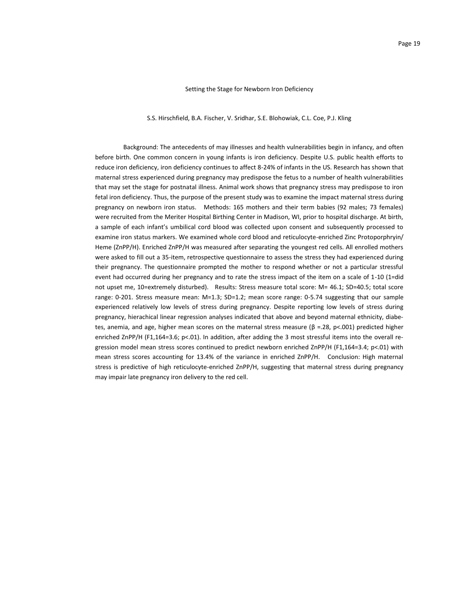#### Setting the Stage for Newborn Iron Deficiency

S.S. Hirschfield, B.A. Fischer, V. Sridhar, S.E. Blohowiak, C.L. Coe, P.J. Kling

Background: The antecedents of may illnesses and health vulnerabilities begin in infancy, and often before birth. One common concern in young infants is iron deficiency. Despite U.S. public health efforts to reduce iron deficiency, iron deficiency continues to affect 8-24% of infants in the US. Research has shown that maternal stress experienced during pregnancy may predispose the fetus to a number of health vulnerabilities that may set the stage for postnatal illness. Animal work shows that pregnancy stress may predispose to iron fetal iron deficiency. Thus, the purpose of the present study was to examine the impact maternal stress during pregnancy on newborn iron status. Methods: 165 mothers and their term babies (92 males; 73 females) were recruited from the Meriter Hospital Birthing Center in Madison, WI, prior to hospital discharge. At birth, a sample of each infant's umbilical cord blood was collected upon consent and subsequently processed to examine iron status markers. We examined whole cord blood and reticulocyte-enriched Zinc Protoporphryin/ Heme (ZnPP/H). Enriched ZnPP/H was measured after separating the youngest red cells. All enrolled mothers were asked to fill out a 35-item, retrospective questionnaire to assess the stress they had experienced during their pregnancy. The questionnaire prompted the mother to respond whether or not a particular stressful event had occurred during her pregnancy and to rate the stress impact of the item on a scale of 1-10 (1=did not upset me, 10=extremely disturbed). Results: Stress measure total score: M= 46.1; SD=40.5; total score range: 0-201. Stress measure mean: M=1.3; SD=1.2; mean score range: 0-5.74 suggesting that our sample experienced relatively low levels of stress during pregnancy. Despite reporting low levels of stress during pregnancy, hierachical linear regression analyses indicated that above and beyond maternal ethnicity, diabetes, anemia, and age, higher mean scores on the maternal stress measure (β =.28, p<.001) predicted higher enriched ZnPP/H (F1,164=3.6; p<.01). In addition, after adding the 3 most stressful items into the overall regression model mean stress scores continued to predict newborn enriched ZnPP/H (F1,164=3.4; p<.01) with mean stress scores accounting for 13.4% of the variance in enriched ZnPP/H. Conclusion: High maternal stress is predictive of high reticulocyte-enriched ZnPP/H, suggesting that maternal stress during pregnancy may impair late pregnancy iron delivery to the red cell.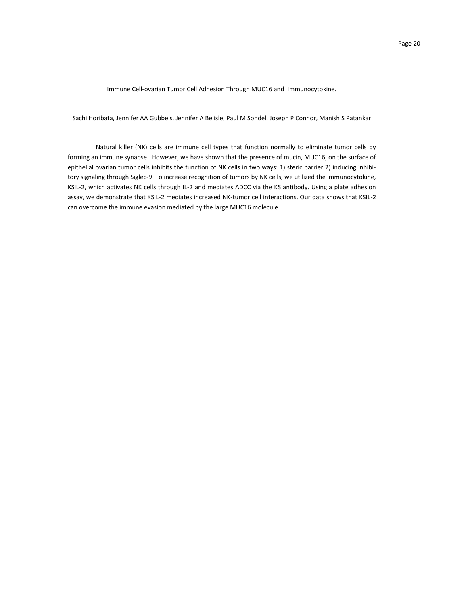#### Immune Cell-ovarian Tumor Cell Adhesion Through MUC16 and Immunocytokine.

Sachi Horibata, Jennifer AA Gubbels, Jennifer A Belisle, Paul M Sondel, Joseph P Connor, Manish S Patankar

Natural killer (NK) cells are immune cell types that function normally to eliminate tumor cells by forming an immune synapse. However, we have shown that the presence of mucin, MUC16, on the surface of epithelial ovarian tumor cells inhibits the function of NK cells in two ways: 1) steric barrier 2) inducing inhibitory signaling through Siglec-9. To increase recognition of tumors by NK cells, we utilized the immunocytokine, KSIL-2, which activates NK cells through IL-2 and mediates ADCC via the KS antibody. Using a plate adhesion assay, we demonstrate that KSIL-2 mediates increased NK-tumor cell interactions. Our data shows that KSIL-2 can overcome the immune evasion mediated by the large MUC16 molecule.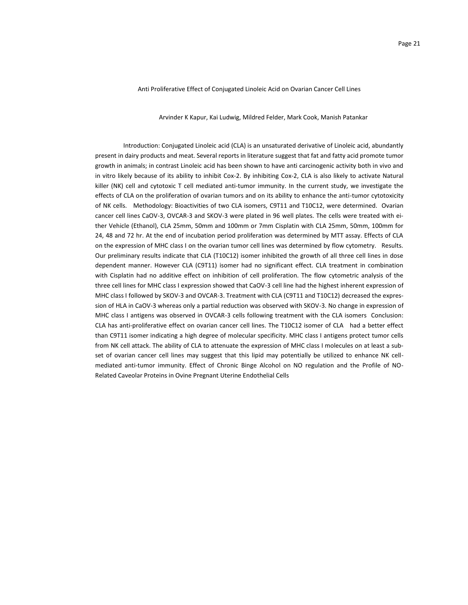#### Anti Proliferative Effect of Conjugated Linoleic Acid on Ovarian Cancer Cell Lines

Arvinder K Kapur, Kai Ludwig, Mildred Felder, Mark Cook, Manish Patankar

Introduction: Conjugated Linoleic acid (CLA) is an unsaturated derivative of Linoleic acid, abundantly present in dairy products and meat. Several reports in literature suggest that fat and fatty acid promote tumor growth in animals; in contrast Linoleic acid has been shown to have anti carcinogenic activity both in vivo and in vitro likely because of its ability to inhibit Cox-2. By inhibiting Cox-2, CLA is also likely to activate Natural killer (NK) cell and cytotoxic T cell mediated anti-tumor immunity. In the current study, we investigate the effects of CLA on the proliferation of ovarian tumors and on its ability to enhance the anti-tumor cytotoxicity of NK cells. Methodology: Bioactivities of two CLA isomers, C9T11 and T10C12, were determined. Ovarian cancer cell lines CaOV-3, OVCAR-3 and SKOV-3 were plated in 96 well plates. The cells were treated with either Vehicle (Ethanol), CLA 25mm, 50mm and 100mm or 7mm Cisplatin with CLA 25mm, 50mm, 100mm for 24, 48 and 72 hr. At the end of incubation period proliferation was determined by MTT assay. Effects of CLA on the expression of MHC class I on the ovarian tumor cell lines was determined by flow cytometry. Results. Our preliminary results indicate that CLA (T10C12) isomer inhibited the growth of all three cell lines in dose dependent manner. However CLA (C9T11) isomer had no significant effect. CLA treatment in combination with Cisplatin had no additive effect on inhibition of cell proliferation. The flow cytometric analysis of the three cell lines for MHC class I expression showed that CaOV-3 cell line had the highest inherent expression of MHC class I followed by SKOV-3 and OVCAR-3. Treatment with CLA (C9T11 and T10C12) decreased the expression of HLA in CaOV-3 whereas only a partial reduction was observed with SKOV-3. No change in expression of MHC class I antigens was observed in OVCAR-3 cells following treatment with the CLA isomers Conclusion: CLA has anti-proliferative effect on ovarian cancer cell lines. The T10C12 isomer of CLA had a better effect than C9T11 isomer indicating a high degree of molecular specificity. MHC class I antigens protect tumor cells from NK cell attack. The ability of CLA to attenuate the expression of MHC class I molecules on at least a subset of ovarian cancer cell lines may suggest that this lipid may potentially be utilized to enhance NK cellmediated anti-tumor immunity. Effect of Chronic Binge Alcohol on NO regulation and the Profile of NO-Related Caveolar Proteins in Ovine Pregnant Uterine Endothelial Cells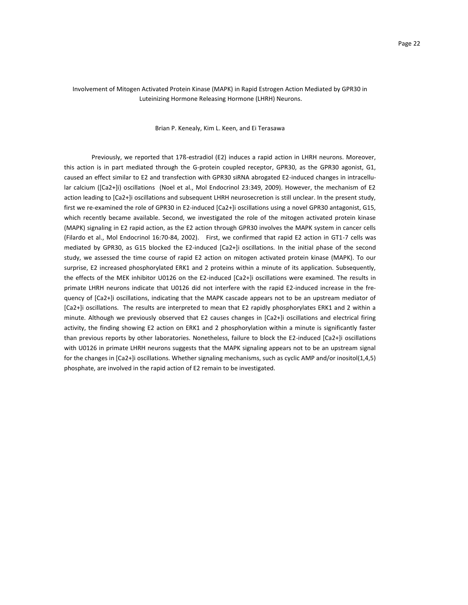## Involvement of Mitogen Activated Protein Kinase (MAPK) in Rapid Estrogen Action Mediated by GPR30 in Luteinizing Hormone Releasing Hormone (LHRH) Neurons.

#### Brian P. Kenealy, Kim L. Keen, and Ei Terasawa

Previously, we reported that 17ß-estradiol (E2) induces a rapid action in LHRH neurons. Moreover, this action is in part mediated through the G-protein coupled receptor, GPR30, as the GPR30 agonist, G1, caused an effect similar to E2 and transfection with GPR30 siRNA abrogated E2-induced changes in intracellular calcium ([Ca2+]i) oscillations (Noel et al., Mol Endocrinol 23:349, 2009). However, the mechanism of E2 action leading to [Ca2+]i oscillations and subsequent LHRH neurosecretion is still unclear. In the present study, first we re-examined the role of GPR30 in E2-induced [Ca2+]i oscillations using a novel GPR30 antagonist, G15, which recently became available. Second, we investigated the role of the mitogen activated protein kinase (MAPK) signaling in E2 rapid action, as the E2 action through GPR30 involves the MAPK system in cancer cells (Filardo et al., Mol Endocrinol 16:70-84, 2002). First, we confirmed that rapid E2 action in GT1-7 cells was mediated by GPR30, as G15 blocked the E2-induced [Ca2+]i oscillations. In the initial phase of the second study, we assessed the time course of rapid E2 action on mitogen activated protein kinase (MAPK). To our surprise, E2 increased phosphorylated ERK1 and 2 proteins within a minute of its application. Subsequently, the effects of the MEK inhibitor U0126 on the E2-induced [Ca2+]i oscillations were examined. The results in primate LHRH neurons indicate that U0126 did not interfere with the rapid E2-induced increase in the frequency of [Ca2+]i oscillations, indicating that the MAPK cascade appears not to be an upstream mediator of [Ca2+]i oscillations. The results are interpreted to mean that E2 rapidly phosphorylates ERK1 and 2 within a minute. Although we previously observed that E2 causes changes in [Ca2+]i oscillations and electrical firing activity, the finding showing E2 action on ERK1 and 2 phosphorylation within a minute is significantly faster than previous reports by other laboratories. Nonetheless, failure to block the E2-induced [Ca2+]i oscillations with U0126 in primate LHRH neurons suggests that the MAPK signaling appears not to be an upstream signal for the changes in [Ca2+]i oscillations. Whether signaling mechanisms, such as cyclic AMP and/or inositol(1,4,5) phosphate, are involved in the rapid action of E2 remain to be investigated.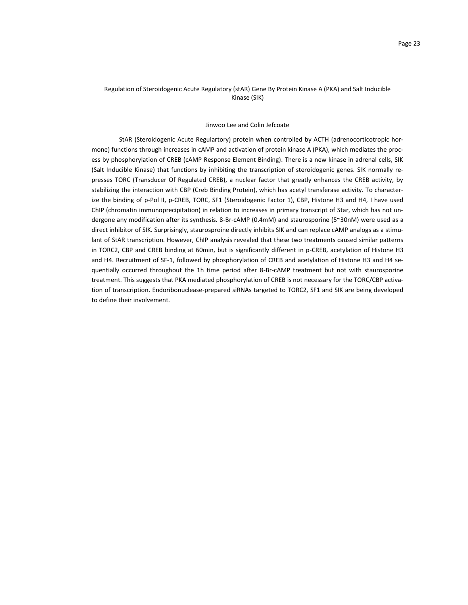### Regulation of Steroidogenic Acute Regulatory (stAR) Gene By Protein Kinase A (PKA) and Salt Inducible Kinase (SIK)

#### Jinwoo Lee and Colin Jefcoate

StAR (Steroidogenic Acute Regulartory) protein when controlled by ACTH (adrenocorticotropic hormone) functions through increases in cAMP and activation of protein kinase A (PKA), which mediates the process by phosphorylation of CREB (cAMP Response Element Binding). There is a new kinase in adrenal cells, SIK (Salt Inducible Kinase) that functions by inhibiting the transcription of steroidogenic genes. SIK normally represses TORC (Transducer Of Regulated CREB), a nuclear factor that greatly enhances the CREB activity, by stabilizing the interaction with CBP (Creb Binding Protein), which has acetyl transferase activity. To characterize the binding of p-Pol II, p-CREB, TORC, SF1 (Steroidogenic Factor 1), CBP, Histone H3 and H4, I have used ChIP (chromatin immunoprecipitation) in relation to increases in primary transcript of Star, which has not undergone any modification after its synthesis. 8-Br-cAMP (0.4mM) and staurosporine (5~30nM) were used as a direct inhibitor of SIK. Surprisingly, staurosproine directly inhibits SIK and can replace cAMP analogs as a stimulant of StAR transcription. However, ChIP analysis revealed that these two treatments caused similar patterns in TORC2, CBP and CREB binding at 60min, but is significantly different in p-CREB, acetylation of Histone H3 and H4. Recruitment of SF-1, followed by phosphorylation of CREB and acetylation of Histone H3 and H4 sequentially occurred throughout the 1h time period after 8-Br-cAMP treatment but not with staurosporine treatment. This suggests that PKA mediated phosphorylation of CREB is not necessary for the TORC/CBP activation of transcription. Endoribonuclease-prepared siRNAs targeted to TORC2, SF1 and SIK are being developed to define their involvement.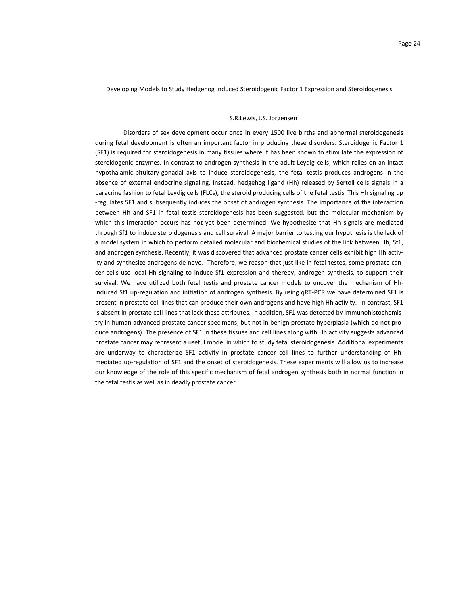Developing Models to Study Hedgehog Induced Steroidogenic Factor 1 Expression and Steroidogenesis

#### S.R.Lewis, J.S. Jorgensen

Disorders of sex development occur once in every 1500 live births and abnormal steroidogenesis during fetal development is often an important factor in producing these disorders. Steroidogenic Factor 1 (SF1) is required for steroidogenesis in many tissues where it has been shown to stimulate the expression of steroidogenic enzymes. In contrast to androgen synthesis in the adult Leydig cells, which relies on an intact hypothalamic-pituitary-gonadal axis to induce steroidogenesis, the fetal testis produces androgens in the absence of external endocrine signaling. Instead, hedgehog ligand (Hh) released by Sertoli cells signals in a paracrine fashion to fetal Leydig cells (FLCs), the steroid producing cells of the fetal testis. This Hh signaling up -regulates SF1 and subsequently induces the onset of androgen synthesis. The importance of the interaction between Hh and SF1 in fetal testis steroidogenesis has been suggested, but the molecular mechanism by which this interaction occurs has not yet been determined. We hypothesize that Hh signals are mediated through Sf1 to induce steroidogenesis and cell survival. A major barrier to testing our hypothesis is the lack of a model system in which to perform detailed molecular and biochemical studies of the link between Hh, Sf1, and androgen synthesis. Recently, it was discovered that advanced prostate cancer cells exhibit high Hh activity and synthesize androgens de novo. Therefore, we reason that just like in fetal testes, some prostate cancer cells use local Hh signaling to induce Sf1 expression and thereby, androgen synthesis, to support their survival. We have utilized both fetal testis and prostate cancer models to uncover the mechanism of Hhinduced Sf1 up-regulation and initiation of androgen synthesis. By using qRT-PCR we have determined SF1 is present in prostate cell lines that can produce their own androgens and have high Hh activity. In contrast, SF1 is absent in prostate cell lines that lack these attributes. In addition, SF1 was detected by immunohistochemistry in human advanced prostate cancer specimens, but not in benign prostate hyperplasia (which do not produce androgens). The presence of SF1 in these tissues and cell lines along with Hh activity suggests advanced prostate cancer may represent a useful model in which to study fetal steroidogenesis. Additional experiments are underway to characterize SF1 activity in prostate cancer cell lines to further understanding of Hhmediated up-regulation of SF1 and the onset of steroidogenesis. These experiments will allow us to increase our knowledge of the role of this specific mechanism of fetal androgen synthesis both in normal function in the fetal testis as well as in deadly prostate cancer.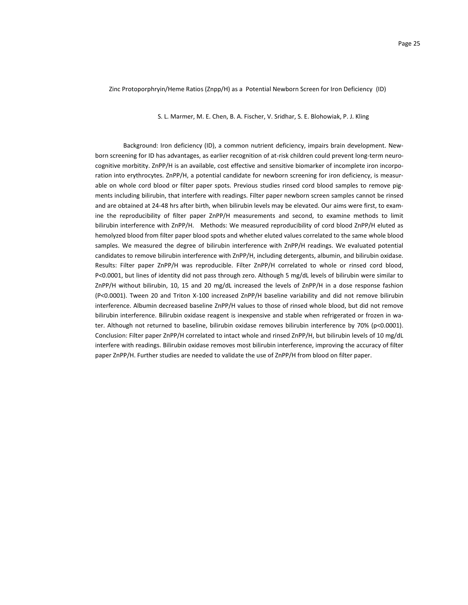#### Zinc Protoporphryin/Heme Ratios (Znpp/H) as a Potential Newborn Screen for Iron Deficiency (ID)

S. L. Marmer, M. E. Chen, B. A. Fischer, V. Sridhar, S. E. Blohowiak, P. J. Kling

Background: Iron deficiency (ID), a common nutrient deficiency, impairs brain development. Newborn screening for ID has advantages, as earlier recognition of at-risk children could prevent long-term neurocognitive morbitity. ZnPP/H is an available, cost effective and sensitive biomarker of incomplete iron incorporation into erythrocytes. ZnPP/H, a potential candidate for newborn screening for iron deficiency, is measurable on whole cord blood or filter paper spots. Previous studies rinsed cord blood samples to remove pigments including bilirubin, that interfere with readings. Filter paper newborn screen samples cannot be rinsed and are obtained at 24-48 hrs after birth, when bilirubin levels may be elevated. Our aims were first, to examine the reproducibility of filter paper ZnPP/H measurements and second, to examine methods to limit bilirubin interference with ZnPP/H. Methods: We measured reproducibility of cord blood ZnPP/H eluted as hemolyzed blood from filter paper blood spots and whether eluted values correlated to the same whole blood samples. We measured the degree of bilirubin interference with ZnPP/H readings. We evaluated potential candidates to remove bilirubin interference with ZnPP/H, including detergents, albumin, and bilirubin oxidase. Results: Filter paper ZnPP/H was reproducible. Filter ZnPP/H correlated to whole or rinsed cord blood, P<0.0001, but lines of identity did not pass through zero. Although 5 mg/dL levels of bilirubin were similar to ZnPP/H without bilirubin, 10, 15 and 20 mg/dL increased the levels of ZnPP/H in a dose response fashion (P<0.0001). Tween 20 and Triton X-100 increased ZnPP/H baseline variability and did not remove bilirubin interference. Albumin decreased baseline ZnPP/H values to those of rinsed whole blood, but did not remove bilirubin interference. Bilirubin oxidase reagent is inexpensive and stable when refrigerated or frozen in water. Although not returned to baseline, bilirubin oxidase removes bilirubin interference by 70% (p<0.0001). Conclusion: Filter paper ZnPP/H correlated to intact whole and rinsed ZnPP/H, but bilirubin levels of 10 mg/dL interfere with readings. Bilirubin oxidase removes most bilirubin interference, improving the accuracy of filter paper ZnPP/H. Further studies are needed to validate the use of ZnPP/H from blood on filter paper.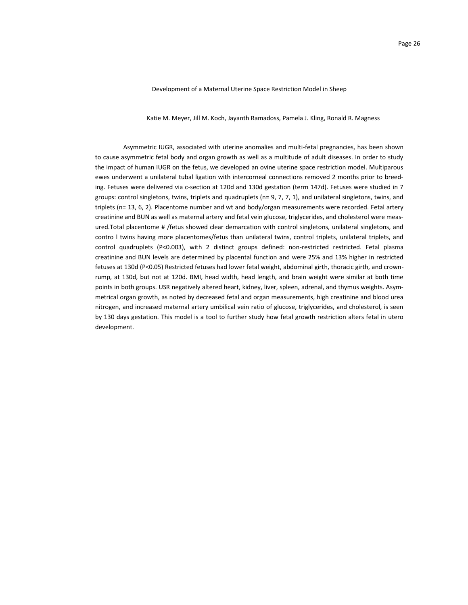#### Development of a Maternal Uterine Space Restriction Model in Sheep

Katie M. Meyer, Jill M. Koch, Jayanth Ramadoss, Pamela J. Kling, Ronald R. Magness

Asymmetric IUGR, associated with uterine anomalies and multi-fetal pregnancies, has been shown to cause asymmetric fetal body and organ growth as well as a multitude of adult diseases. In order to study the impact of human IUGR on the fetus, we developed an ovine uterine space restriction model. Multiparous ewes underwent a unilateral tubal ligation with intercorneal connections removed 2 months prior to breeding. Fetuses were delivered via c-section at 120d and 130d gestation (term 147d). Fetuses were studied in 7 groups: control singletons, twins, triplets and quadruplets (n= 9, 7, 7, 1), and unilateral singletons, twins, and triplets (n= 13, 6, 2). Placentome number and wt and body/organ measurements were recorded. Fetal artery creatinine and BUN as well as maternal artery and fetal vein glucose, triglycerides, and cholesterol were measured.Total placentome # /fetus showed clear demarcation with control singletons, unilateral singletons, and contro l twins having more placentomes/fetus than unilateral twins, control triplets, unilateral triplets, and control quadruplets (P<0.003), with 2 distinct groups defined: non-restricted restricted. Fetal plasma creatinine and BUN levels are determined by placental function and were 25% and 13% higher in restricted fetuses at 130d (P<0.05) Restricted fetuses had lower fetal weight, abdominal girth, thoracic girth, and crownrump, at 130d, but not at 120d. BMI, head width, head length, and brain weight were similar at both time points in both groups. USR negatively altered heart, kidney, liver, spleen, adrenal, and thymus weights. Asymmetrical organ growth, as noted by decreased fetal and organ measurements, high creatinine and blood urea nitrogen, and increased maternal artery umbilical vein ratio of glucose, triglycerides, and cholesterol, is seen by 130 days gestation. This model is a tool to further study how fetal growth restriction alters fetal in utero development.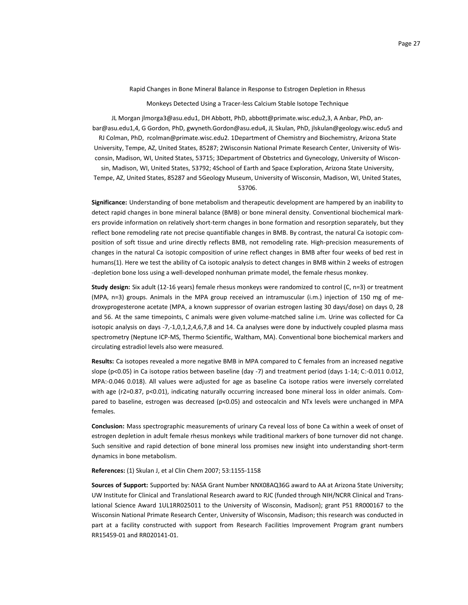Monkeys Detected Using a Tracer-less Calcium Stable Isotope Technique

JL Morgan jlmorga3@asu.edu1, DH Abbott, PhD, abbott@primate.wisc.edu2,3, A Anbar, PhD, anbar@asu.edu1,4, G Gordon, PhD, gwyneth.Gordon@asu.edu4, JL Skulan, PhD, jlskulan@geology.wisc.edu5 and RJ Colman, PhD, rcolman@primate.wisc.edu2. 1Department of Chemistry and Biochemistry, Arizona State University, Tempe, AZ, United States, 85287; 2Wisconsin National Primate Research Center, University of Wisconsin, Madison, WI, United States, 53715; 3Department of Obstetrics and Gynecology, University of Wisconsin, Madison, WI, United States, 53792; 4School of Earth and Space Exploration, Arizona State University, Tempe, AZ, United States, 85287 and 5Geology Museum, University of Wisconsin, Madison, WI, United States, 53706.

**Significance:** Understanding of bone metabolism and therapeutic development are hampered by an inability to detect rapid changes in bone mineral balance (BMB) or bone mineral density. Conventional biochemical markers provide information on relatively short-term changes in bone formation and resorption separately, but they reflect bone remodeling rate not precise quantifiable changes in BMB. By contrast, the natural Ca isotopic composition of soft tissue and urine directly reflects BMB, not remodeling rate. High-precision measurements of changes in the natural Ca isotopic composition of urine reflect changes in BMB after four weeks of bed rest in humans(1). Here we test the ability of Ca isotopic analysis to detect changes in BMB within 2 weeks of estrogen -depletion bone loss using a well-developed nonhuman primate model, the female rhesus monkey.

**Study design:** Six adult (12-16 years) female rhesus monkeys were randomized to control (C, n=3) or treatment (MPA, n=3) groups. Animals in the MPA group received an intramuscular (i.m.) injection of 150 mg of medroxyprogesterone acetate (MPA, a known suppressor of ovarian estrogen lasting 30 days/dose) on days 0, 28 and 56. At the same timepoints, C animals were given volume-matched saline i.m. Urine was collected for Ca isotopic analysis on days -7,-1,0,1,2,4,6,7,8 and 14. Ca analyses were done by inductively coupled plasma mass spectrometry (Neptune ICP-MS, Thermo Scientific, Waltham, MA). Conventional bone biochemical markers and circulating estradiol levels also were measured.

**Results:** Ca isotopes revealed a more negative BMB in MPA compared to C females from an increased negative slope (p<0.05) in Ca isotope ratios between baseline (day -7) and treatment period (days 1-14; C:-0.011 0.012, MPA:-0.046 0.018). All values were adjusted for age as baseline Ca isotope ratios were inversely correlated with age (r2=0.87, p<0.01), indicating naturally occurring increased bone mineral loss in older animals. Compared to baseline, estrogen was decreased (p<0.05) and osteocalcin and NTx levels were unchanged in MPA females.

**Conclusion:** Mass spectrographic measurements of urinary Ca reveal loss of bone Ca within a week of onset of estrogen depletion in adult female rhesus monkeys while traditional markers of bone turnover did not change. Such sensitive and rapid detection of bone mineral loss promises new insight into understanding short-term dynamics in bone metabolism.

**References:** (1) Skulan J, et al Clin Chem 2007; 53:1155-1158

**Sources of Support:** Supported by: NASA Grant Number NNX08AQ36G award to AA at Arizona State University; UW Institute for Clinical and Translational Research award to RJC (funded through NIH/NCRR Clinical and Translational Science Award 1UL1RR025011 to the University of Wisconsin, Madison); grant P51 RR000167 to the Wisconsin National Primate Research Center, University of Wisconsin, Madison; this research was conducted in part at a facility constructed with support from Research Facilities Improvement Program grant numbers RR15459-01 and RR020141-01.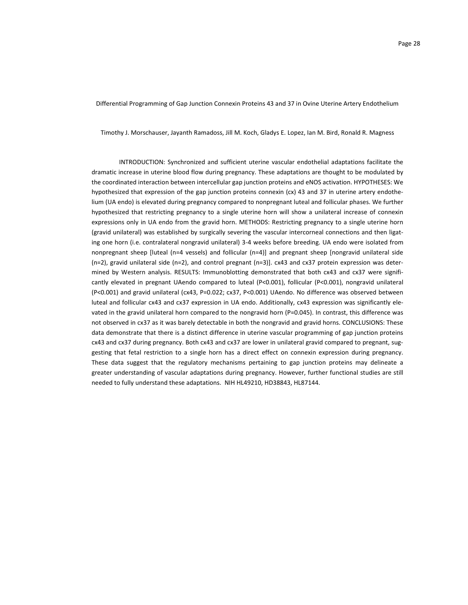#### Differential Programming of Gap Junction Connexin Proteins 43 and 37 in Ovine Uterine Artery Endothelium

Timothy J. Morschauser, Jayanth Ramadoss, Jill M. Koch, Gladys E. Lopez, Ian M. Bird, Ronald R. Magness

INTRODUCTION: Synchronized and sufficient uterine vascular endothelial adaptations facilitate the dramatic increase in uterine blood flow during pregnancy. These adaptations are thought to be modulated by the coordinated interaction between intercellular gap junction proteins and eNOS activation. HYPOTHESES: We hypothesized that expression of the gap junction proteins connexin (cx) 43 and 37 in uterine artery endothelium (UA endo) is elevated during pregnancy compared to nonpregnant luteal and follicular phases. We further hypothesized that restricting pregnancy to a single uterine horn will show a unilateral increase of connexin expressions only in UA endo from the gravid horn. METHODS: Restricting pregnancy to a single uterine horn (gravid unilateral) was established by surgically severing the vascular intercorneal connections and then ligating one horn (i.e. contralateral nongravid unilateral) 3-4 weeks before breeding. UA endo were isolated from nonpregnant sheep [luteal (n=4 vessels) and follicular (n=4)] and pregnant sheep [nongravid unilateral side (n=2), gravid unilateral side (n=2), and control pregnant (n=3)]. cx43 and cx37 protein expression was determined by Western analysis. RESULTS: Immunoblotting demonstrated that both cx43 and cx37 were significantly elevated in pregnant UAendo compared to luteal (P<0.001), follicular (P<0.001), nongravid unilateral (P<0.001) and gravid unilateral (cx43, P=0.022; cx37, P<0.001) UAendo. No difference was observed between luteal and follicular cx43 and cx37 expression in UA endo. Additionally, cx43 expression was significantly elevated in the gravid unilateral horn compared to the nongravid horn (P=0.045). In contrast, this difference was not observed in cx37 as it was barely detectable in both the nongravid and gravid horns. CONCLUSIONS: These data demonstrate that there is a distinct difference in uterine vascular programming of gap junction proteins cx43 and cx37 during pregnancy. Both cx43 and cx37 are lower in unilateral gravid compared to pregnant, suggesting that fetal restriction to a single horn has a direct effect on connexin expression during pregnancy. These data suggest that the regulatory mechanisms pertaining to gap junction proteins may delineate a greater understanding of vascular adaptations during pregnancy. However, further functional studies are still needed to fully understand these adaptations. NIH HL49210, HD38843, HL87144.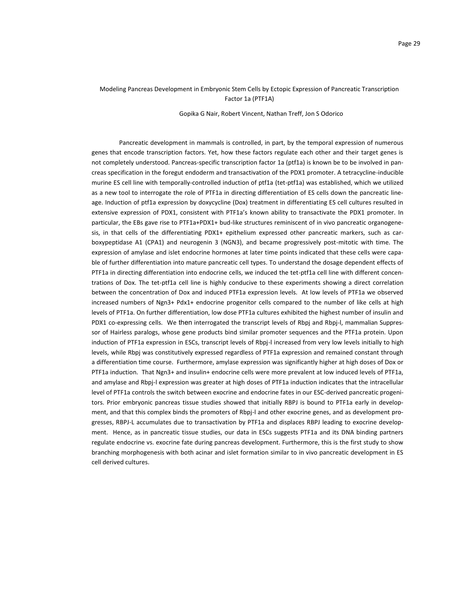## Modeling Pancreas Development in Embryonic Stem Cells by Ectopic Expression of Pancreatic Transcription Factor 1a (PTF1A)

Gopika G Nair, Robert Vincent, Nathan Treff, Jon S Odorico

Pancreatic development in mammals is controlled, in part, by the temporal expression of numerous genes that encode transcription factors. Yet, how these factors regulate each other and their target genes is not completely understood. Pancreas-specific transcription factor 1a (ptf1a) is known be to be involved in pancreas specification in the foregut endoderm and transactivation of the PDX1 promoter. A tetracycline-inducible murine ES cell line with temporally-controlled induction of ptf1a (tet-ptf1a) was established, which we utilized as a new tool to interrogate the role of PTF1a in directing differentiation of ES cells down the pancreatic lineage. Induction of ptf1a expression by doxycycline (Dox) treatment in differentiating ES cell cultures resulted in extensive expression of PDX1, consistent with PTF1a's known ability to transactivate the PDX1 promoter. In particular, the EBs gave rise to PTF1a+PDX1+ bud-like structures reminiscent of in vivo pancreatic organogenesis, in that cells of the differentiating PDX1+ epithelium expressed other pancreatic markers, such as carboxypeptidase A1 (CPA1) and neurogenin 3 (NGN3), and became progressively post-mitotic with time. The expression of amylase and islet endocrine hormones at later time points indicated that these cells were capable of further differentiation into mature pancreatic cell types. To understand the dosage dependent effects of PTF1a in directing differentiation into endocrine cells, we induced the tet-ptf1a cell line with different concentrations of Dox. The tet-ptf1a cell line is highly conducive to these experiments showing a direct correlation between the concentration of Dox and induced PTF1a expression levels. At low levels of PTF1a we observed increased numbers of Ngn3+ Pdx1+ endocrine progenitor cells compared to the number of like cells at high levels of PTF1a. On further differentiation, low dose PTF1a cultures exhibited the highest number of insulin and PDX1 co-expressing cells. We then interrogated the transcript levels of Rbpj and Rbpj-l, mammalian Suppressor of Hairless paralogs, whose gene products bind similar promoter sequences and the PTF1a protein. Upon induction of PTF1a expression in ESCs, transcript levels of Rbpj-l increased from very low levels initially to high levels, while Rbpj was constitutively expressed regardless of PTF1a expression and remained constant through a differentiation time course. Furthermore, amylase expression was significantly higher at high doses of Dox or PTF1a induction. That Ngn3+ and insulin+ endocrine cells were more prevalent at low induced levels of PTF1a, and amylase and Rbpj-l expression was greater at high doses of PTF1a induction indicates that the intracellular level of PTF1a controls the switch between exocrine and endocrine fates in our ESC-derived pancreatic progenitors. Prior embryonic pancreas tissue studies showed that initially RBPJ is bound to PTF1a early in development, and that this complex binds the promoters of Rbpj-l and other exocrine genes, and as development progresses, RBPJ-L accumulates due to transactivation by PTF1a and displaces RBPJ leading to exocrine development. Hence, as in pancreatic tissue studies, our data in ESCs suggests PTF1a and its DNA binding partners regulate endocrine vs. exocrine fate during pancreas development. Furthermore, this is the first study to show branching morphogenesis with both acinar and islet formation similar to in vivo pancreatic development in ES cell derived cultures.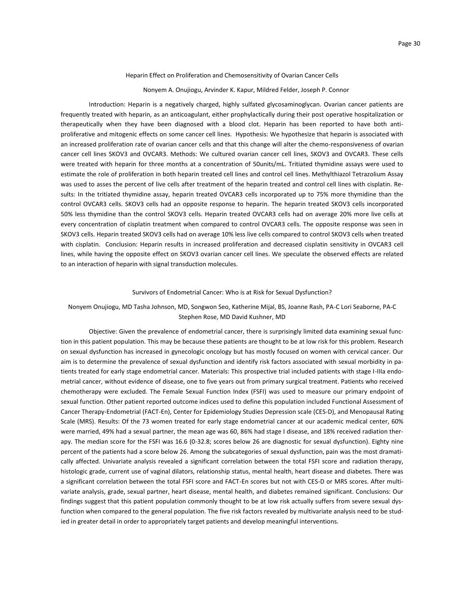#### Heparin Effect on Proliferation and Chemosensitivity of Ovarian Cancer Cells

#### Nonyem A. Onujiogu, Arvinder K. Kapur, Mildred Felder, Joseph P. Connor

Introduction: Heparin is a negatively charged, highly sulfated glycosaminoglycan. Ovarian cancer patients are frequently treated with heparin, as an anticoagulant, either prophylactically during their post operative hospitalization or therapeutically when they have been diagnosed with a blood clot. Heparin has been reported to have both antiproliferative and mitogenic effects on some cancer cell lines. Hypothesis: We hypothesize that heparin is associated with an increased proliferation rate of ovarian cancer cells and that this change will alter the chemo-responsiveness of ovarian cancer cell lines SKOV3 and OVCAR3. Methods: We cultured ovarian cancer cell lines, SKOV3 and OVCAR3. These cells were treated with heparin for three months at a concentration of 50units/mL. Tritiated thymidine assays were used to estimate the role of proliferation in both heparin treated cell lines and control cell lines. Methylthiazol Tetrazolium Assay was used to asses the percent of live cells after treatment of the heparin treated and control cell lines with cisplatin. Results: In the tritiated thymidine assay, heparin treated OVCAR3 cells incorporated up to 75% more thymidine than the control OVCAR3 cells. SKOV3 cells had an opposite response to heparin. The heparin treated SKOV3 cells incorporated 50% less thymidine than the control SKOV3 cells. Heparin treated OVCAR3 cells had on average 20% more live cells at every concentration of cisplatin treatment when compared to control OVCAR3 cells. The opposite response was seen in SKOV3 cells. Heparin treated SKOV3 cells had on average 10% less live cells compared to control SKOV3 cells when treated with cisplatin. Conclusion: Heparin results in increased proliferation and decreased cisplatin sensitivity in OVCAR3 cell lines, while having the opposite effect on SKOV3 ovarian cancer cell lines. We speculate the observed effects are related to an interaction of heparin with signal transduction molecules.

#### Survivors of Endometrial Cancer: Who is at Risk for Sexual Dysfunction?

## Nonyem Onujiogu, MD Tasha Johnson, MD, Songwon Seo, Katherine Mijal, BS, Joanne Rash, PA-C Lori Seaborne, PA-C Stephen Rose, MD David Kushner, MD

Objective: Given the prevalence of endometrial cancer, there is surprisingly limited data examining sexual function in this patient population. This may be because these patients are thought to be at low risk for this problem. Research on sexual dysfunction has increased in gynecologic oncology but has mostly focused on women with cervical cancer. Our aim is to determine the prevalence of sexual dysfunction and identify risk factors associated with sexual morbidity in patients treated for early stage endometrial cancer. Materials: This prospective trial included patients with stage I-IIIa endometrial cancer, without evidence of disease, one to five years out from primary surgical treatment. Patients who received chemotherapy were excluded. The Female Sexual Function Index (FSFI) was used to measure our primary endpoint of sexual function. Other patient reported outcome indices used to define this population included Functional Assessment of Cancer Therapy-Endometrial (FACT-En), Center for Epidemiology Studies Depression scale (CES-D), and Menopausal Rating Scale (MRS). Results: Of the 73 women treated for early stage endometrial cancer at our academic medical center, 60% were married, 49% had a sexual partner, the mean age was 60, 86% had stage I disease, and 18% received radiation therapy. The median score for the FSFI was 16.6 (0-32.8; scores below 26 are diagnostic for sexual dysfunction). Eighty nine percent of the patients had a score below 26. Among the subcategories of sexual dysfunction, pain was the most dramatically affected. Univariate analysis revealed a significant correlation between the total FSFI score and radiation therapy, histologic grade, current use of vaginal dilators, relationship status, mental health, heart disease and diabetes. There was a significant correlation between the total FSFI score and FACT-En scores but not with CES-D or MRS scores. After multivariate analysis, grade, sexual partner, heart disease, mental health, and diabetes remained significant. Conclusions: Our findings suggest that this patient population commonly thought to be at low risk actually suffers from severe sexual dysfunction when compared to the general population. The five risk factors revealed by multivariate analysis need to be studied in greater detail in order to appropriately target patients and develop meaningful interventions.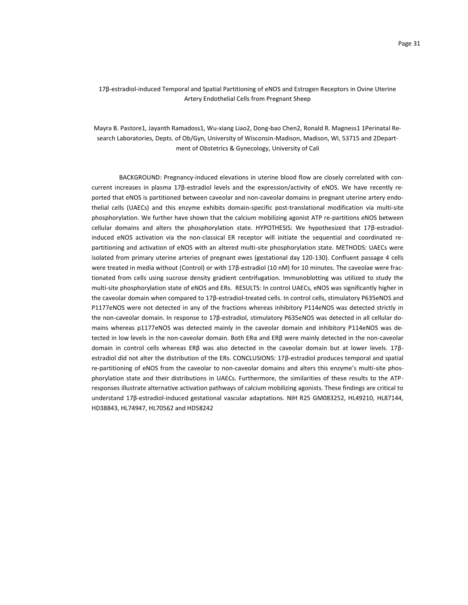## 17β-estradiol-induced Temporal and Spatial Partitioning of eNOS and Estrogen Receptors in Ovine Uterine Artery Endothelial Cells from Pregnant Sheep

Mayra B. Pastore1, Jayanth Ramadoss1, Wu-xiang Liao2, Dong-bao Chen2, Ronald R. Magness1 1Perinatal Research Laboratories, Depts. of Ob/Gyn, University of Wisconsin-Madison, Madison, WI, 53715 and 2Department of Obstetrics & Gynecology, University of Cali

BACKGROUND: Pregnancy-induced elevations in uterine blood flow are closely correlated with concurrent increases in plasma 17β-estradiol levels and the expression/activity of eNOS. We have recently reported that eNOS is partitioned between caveolar and non-caveolar domains in pregnant uterine artery endothelial cells (UAECs) and this enzyme exhibits domain-specific post-translational modification via multi-site phosphorylation. We further have shown that the calcium mobilizing agonist ATP re-partitions eNOS between cellular domains and alters the phosphorylation state. HYPOTHESIS: We hypothesized that 17β-estradiolinduced eNOS activation via the non-classical ER receptor will initiate the sequential and coordinated repartitioning and activation of eNOS with an altered multi-site phosphorylation state. METHODS: UAECs were isolated from primary uterine arteries of pregnant ewes (gestational day 120-130). Confluent passage 4 cells were treated in media without (Control) or with 17β-estradiol (10 nM) for 10 minutes. The caveolae were fractionated from cells using sucrose density gradient centrifugation. Immunoblotting was utilized to study the multi-site phosphorylation state of eNOS and ERs. RESULTS: In control UAECs, eNOS was significantly higher in the caveolar domain when compared to 17β-estradiol-treated cells. In control cells, stimulatory P635eNOS and P1177eNOS were not detected in any of the fractions whereas inhibitory P114eNOS was detected strictly in the non-caveolar domain. In response to 17β-estradiol, stimulatory P635eNOS was detected in all cellular domains whereas p1177eNOS was detected mainly in the caveolar domain and inhibitory P114eNOS was detected in low levels in the non-caveolar domain. Both ERα and ERβ were mainly detected in the non-caveolar domain in control cells whereas ERβ was also detected in the caveolar domain but at lower levels. 17βestradiol did not alter the distribution of the ERs. CONCLUSIONS: 17β-estradiol produces temporal and spatial re-partitioning of eNOS from the caveolar to non-caveolar domains and alters this enzyme's multi-site phosphorylation state and their distributions in UAECs. Furthermore, the similarities of these results to the ATPresponses illustrate alternative activation pathways of calcium mobilizing agonists. These findings are critical to understand 17β-estradiol-induced gestational vascular adaptations. NIH R25 GM083252, HL49210, HL87144, HD38843, HL74947, HL70562 and HD58242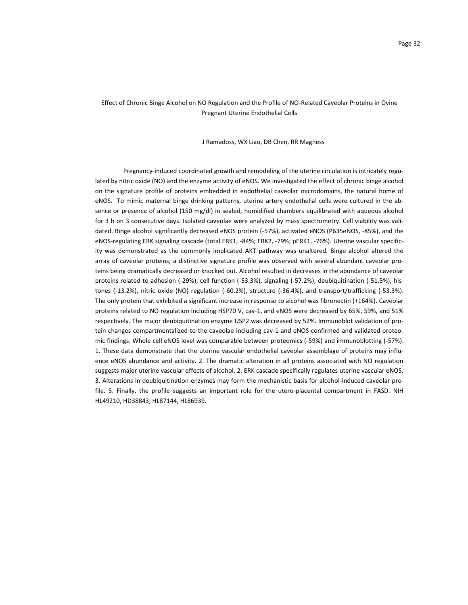## Effect of Chronic Binge Alcohol on NO Regulation and the Profile of NO-Related Caveolar Proteins in Ovine Pregnant Uterine Endothelial Cells

#### J Ramadoss, WX Liao, DB Chen, RR Magness

Pregnancy-induced coordinated growth and remodeling of the uterine circulation is intricately regulated by nitric oxide (NO) and the enzyme activity of eNOS. We investigated the effect of chronic binge alcohol on the signature profile of proteins embedded in endothelial caveolar microdomains, the natural home of eNOS. To mimic maternal binge drinking patterns, uterine artery endothelial cells were cultured in the absence or presence of alcohol (150 mg/dl) in sealed, humidified chambers equilibrated with aqueous alcohol for 3 h on 3 consecutive days. Isolated caveolae were analyzed by mass spectrometry. Cell viability was validated. Binge alcohol significantly decreased eNOS protein (-57%), activated eNOS (P635eNOS, -85%), and the eNOS-regulating ERK signaling cascade (total ERK1, -84%; ERK2, -79%; pERK1, -76%). Uterine vascular specificity was demonstrated as the commonly implicated AKT pathway was unaltered. Binge alcohol altered the array of caveolar proteins; a distinctive signature profile was observed with several abundant caveolar proteins being dramatically decreased or knocked out. Alcohol resulted in decreases in the abundance of caveolar proteins related to adhesion (-29%), cell function (-53.3%), signaling (-57.2%), deubiquitination (-51.5%), histones (-13.2%), nitric oxide (NO) regulation (-60.2%), structure (-36.4%), and transport/trafficking (-53.3%). The only protein that exhibited a significant increase in response to alcohol was fibronectin (+164%). Caveolar proteins related to NO regulation including HSP70 V, cav-1, and eNOS were decreased by 65%, 59%, and 51% respectively. The major deubiquitination enzyme USP2 was decreased by 52%. Immunoblot validation of protein changes compartmentalized to the caveolae including cav-1 and eNOS confirmed and validated proteomic findings. Whole cell eNOS level was comparable between proteomics (-59%) and immunoblotting (-57%). 1. These data demonstrate that the uterine vascular endothelial caveolar assemblage of proteins may influence eNOS abundance and activity. 2. The dramatic alteration in all proteins associated with NO regulation suggests major uterine vascular effects of alcohol. 2. ERK cascade specifically regulates uterine vascular eNOS. 3. Alterations in deubiquitination enzymes may form the mechanistic basis for alcohol-induced caveolar profile. 5. Finally, the profile suggests an important role for the utero-placental compartment in FASD. NIH HL49210, HD38843, HL87144, HL86939.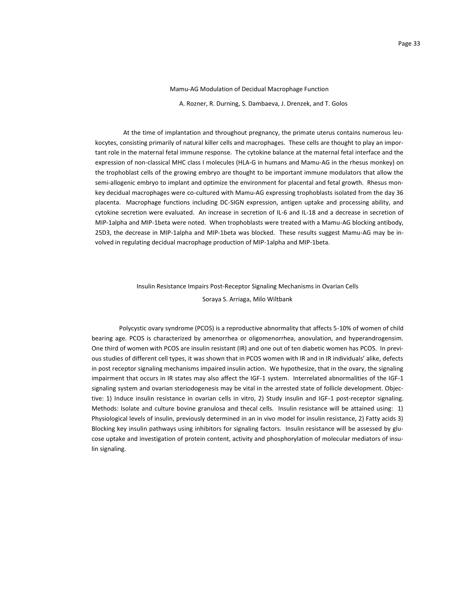#### Mamu-AG Modulation of Decidual Macrophage Function

A. Rozner, R. Durning, S. Dambaeva, J. Drenzek, and T. Golos

At the time of implantation and throughout pregnancy, the primate uterus contains numerous leukocytes, consisting primarily of natural killer cells and macrophages. These cells are thought to play an important role in the maternal fetal immune response. The cytokine balance at the maternal fetal interface and the expression of non-classical MHC class I molecules (HLA-G in humans and Mamu-AG in the rhesus monkey) on the trophoblast cells of the growing embryo are thought to be important immune modulators that allow the semi-allogenic embryo to implant and optimize the environment for placental and fetal growth. Rhesus monkey decidual macrophages were co-cultured with Mamu-AG expressing trophoblasts isolated from the day 36 placenta. Macrophage functions including DC-SIGN expression, antigen uptake and processing ability, and cytokine secretion were evaluated. An increase in secretion of IL-6 and IL-18 and a decrease in secretion of MIP-1alpha and MIP-1beta were noted. When trophoblasts were treated with a Mamu-AG blocking antibody, 25D3, the decrease in MIP-1alpha and MIP-1beta was blocked. These results suggest Mamu-AG may be involved in regulating decidual macrophage production of MIP-1alpha and MIP-1beta.

## Insulin Resistance Impairs Post-Receptor Signaling Mechanisms in Ovarian Cells Soraya S. Arriaga, Milo Wiltbank

Polycystic ovary syndrome (PCOS) is a reproductive abnormality that affects 5-10% of women of child bearing age. PCOS is characterized by amenorrhea or oligomenorrhea, anovulation, and hyperandrogensim. One third of women with PCOS are insulin resistant (IR) and one out of ten diabetic women has PCOS. In previous studies of different cell types, it was shown that in PCOS women with IR and in IR individuals' alike, defects in post receptor signaling mechanisms impaired insulin action. We hypothesize, that in the ovary, the signaling impairment that occurs in IR states may also affect the IGF-1 system. Interrelated abnormalities of the IGF-1 signaling system and ovarian steriodogenesis may be vital in the arrested state of follicle development. Objective: 1) Induce insulin resistance in ovarian cells in vitro, 2) Study insulin and IGF-1 post-receptor signaling. Methods: Isolate and culture bovine granulosa and thecal cells. Insulin resistance will be attained using: 1) Physiological levels of insulin, previously determined in an in vivo model for insulin resistance, 2) Fatty acids 3) Blocking key insulin pathways using inhibitors for signaling factors. Insulin resistance will be assessed by glucose uptake and investigation of protein content, activity and phosphorylation of molecular mediators of insulin signaling.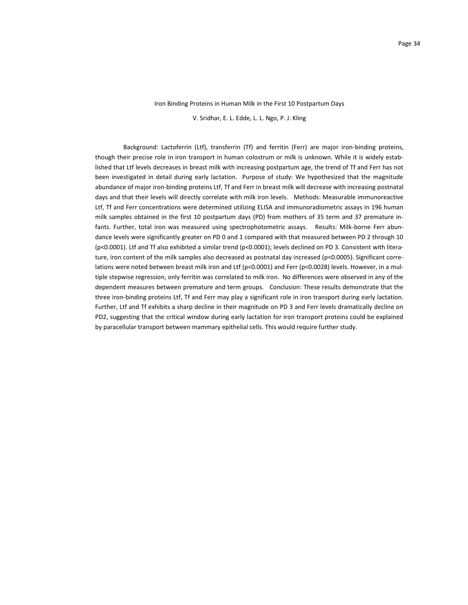#### Iron Binding Proteins in Human Milk in the First 10 Postpartum Days

V. Sridhar, E. L. Edde, L. L. Ngo, P. J. Kling

Background: Lactoferrin (Ltf), transferrin (Tf) and ferritin (Ferr) are major iron-binding proteins, though their precise role in iron transport in human colostrum or milk is unknown. While it is widely established that Ltf levels decreases in breast milk with increasing postpartum age, the trend of Tf and Ferr has not been investigated in detail during early lactation. Purpose of study: We hypothesized that the magnitude abundance of major iron-binding proteins Ltf, Tf and Ferr in breast milk will decrease with increasing postnatal days and that their levels will directly correlate with milk iron levels. Methods: Measurable immunoreactive Ltf, Tf and Ferr concentrations were determined utilizing ELISA and immunoradiometric assays in 196 human milk samples obtained in the first 10 postpartum days (PD) from mothers of 35 term and 37 premature infants. Further, total iron was measured using spectrophotometric assays. Results: Milk-borne Ferr abundance levels were significantly greater on PD 0 and 1 compared with that measured between PD 2 through 10 (p<0.0001). Ltf and Tf also exhibited a similar trend (p<0.0001); levels declined on PD 3. Consistent with literature, iron content of the milk samples also decreased as postnatal day increased (p<0.0005). Significant correlations were noted between breast milk iron and Ltf (p<0.0001) and Ferr (p<0.0028) levels. However, in a multiple stepwise regression, only ferritin was correlated to milk iron. No differences were observed in any of the dependent measures between premature and term groups. Conclusion: These results demonstrate that the three iron-binding proteins Ltf, Tf and Ferr may play a significant role in iron transport during early lactation. Further, Ltf and Tf exhibits a sharp decline in their magnitude on PD 3 and Ferr levels dramatically decline on PD2, suggesting that the critical window during early lactation for iron transport proteins could be explained by paracellular transport between mammary epithelial cells. This would require further study.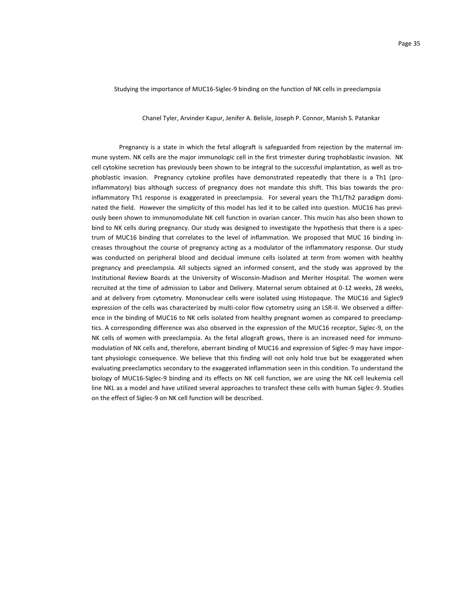#### Studying the importance of MUC16-Siglec-9 binding on the function of NK cells in preeclampsia

Chanel Tyler, Arvinder Kapur, Jenifer A. Belisle, Joseph P. Connor, Manish S. Patankar

Pregnancy is a state in which the fetal allograft is safeguarded from rejection by the maternal immune system. NK cells are the major immunologic cell in the first trimester during trophoblastic invasion. NK cell cytokine secretion has previously been shown to be integral to the successful implantation, as well as trophoblastic invasion. Pregnancy cytokine profiles have demonstrated repeatedly that there is a Th1 (proinflammatory) bias although success of pregnancy does not mandate this shift. This bias towards the proinflammatory Th1 response is exaggerated in preeclampsia. For several years the Th1/Th2 paradigm dominated the field. However the simplicity of this model has led it to be called into question. MUC16 has previously been shown to immunomodulate NK cell function in ovarian cancer. This mucin has also been shown to bind to NK cells during pregnancy. Our study was designed to investigate the hypothesis that there is a spectrum of MUC16 binding that correlates to the level of inflammation. We proposed that MUC 16 binding increases throughout the course of pregnancy acting as a modulator of the inflammatory response. Our study was conducted on peripheral blood and decidual immune cells isolated at term from women with healthy pregnancy and preeclampsia. All subjects signed an informed consent, and the study was approved by the Institutional Review Boards at the University of Wisconsin-Madison and Meriter Hospital. The women were recruited at the time of admission to Labor and Delivery. Maternal serum obtained at 0-12 weeks, 28 weeks, and at delivery from cytometry. Mononuclear cells were isolated using Histopaque. The MUC16 and Siglec9 expression of the cells was characterized by multi-color flow cytometry using an LSR-II. We observed a difference in the binding of MUC16 to NK cells isolated from healthy pregnant women as compared to preeclamptics. A corresponding difference was also observed in the expression of the MUC16 receptor, Siglec-9, on the NK cells of women with preeclampsia. As the fetal allograft grows, there is an increased need for immunomodulation of NK cells and, therefore, aberrant binding of MUC16 and expression of Siglec-9 may have important physiologic consequence. We believe that this finding will not only hold true but be exaggerated when evaluating preeclamptics secondary to the exaggerated inflammation seen in this condition. To understand the biology of MUC16-Siglec-9 binding and its effects on NK cell function, we are using the NK cell leukemia cell line NKL as a model and have utilized several approaches to transfect these cells with human Siglec-9. Studies on the effect of Siglec-9 on NK cell function will be described.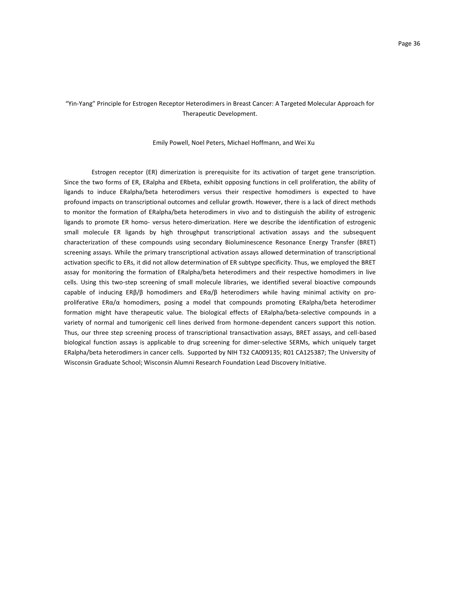## "Yin-Yang" Principle for Estrogen Receptor Heterodimers in Breast Cancer: A Targeted Molecular Approach for Therapeutic Development.

#### Emily Powell, Noel Peters, Michael Hoffmann, and Wei Xu

Estrogen receptor (ER) dimerization is prerequisite for its activation of target gene transcription. Since the two forms of ER, ERalpha and ERbeta, exhibit opposing functions in cell proliferation, the ability of ligands to induce ERalpha/beta heterodimers versus their respective homodimers is expected to have profound impacts on transcriptional outcomes and cellular growth. However, there is a lack of direct methods to monitor the formation of ERalpha/beta heterodimers in vivo and to distinguish the ability of estrogenic ligands to promote ER homo- versus hetero-dimerization. Here we describe the identification of estrogenic small molecule ER ligands by high throughput transcriptional activation assays and the subsequent characterization of these compounds using secondary Bioluminescence Resonance Energy Transfer (BRET) screening assays. While the primary transcriptional activation assays allowed determination of transcriptional activation specific to ERs, it did not allow determination of ER subtype specificity. Thus, we employed the BRET assay for monitoring the formation of ERalpha/beta heterodimers and their respective homodimers in live cells. Using this two-step screening of small molecule libraries, we identified several bioactive compounds capable of inducing ERβ/β homodimers and ERα/β heterodimers while having minimal activity on proproliferative  $ER\alpha/\alpha$  homodimers, posing a model that compounds promoting ERalpha/beta heterodimer formation might have therapeutic value. The biological effects of ERalpha/beta-selective compounds in a variety of normal and tumorigenic cell lines derived from hormone-dependent cancers support this notion. Thus, our three step screening process of transcriptional transactivation assays, BRET assays, and cell-based biological function assays is applicable to drug screening for dimer-selective SERMs, which uniquely target ERalpha/beta heterodimers in cancer cells. Supported by NIH T32 CA009135; R01 CA125387; The University of Wisconsin Graduate School; Wisconsin Alumni Research Foundation Lead Discovery Initiative.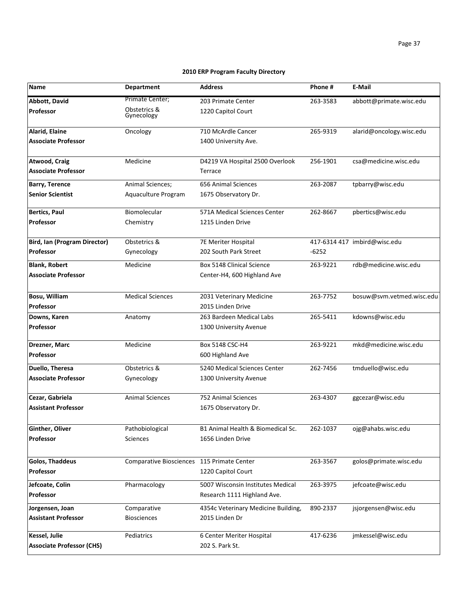## **2010 ERP Program Faculty Directory**

| Name                                | Department                                 | <b>Address</b>                      | Phone #  | E-Mail                       |
|-------------------------------------|--------------------------------------------|-------------------------------------|----------|------------------------------|
| Abbott, David                       | Primate Center;                            | 203 Primate Center                  | 263-3583 | abbott@primate.wisc.edu      |
| Professor                           | Obstetrics &<br>Gynecology                 | 1220 Capitol Court                  |          |                              |
| Alarid, Elaine                      | Oncology                                   | 710 McArdle Cancer                  | 265-9319 | alarid@oncology.wisc.edu     |
| <b>Associate Professor</b>          |                                            | 1400 University Ave.                |          |                              |
| Atwood, Craig                       | Medicine                                   | D4219 VA Hospital 2500 Overlook     | 256-1901 | csa@medicine.wisc.edu        |
| <b>Associate Professor</b>          |                                            | Terrace                             |          |                              |
| <b>Barry, Terence</b>               | Animal Sciences;                           | 656 Animal Sciences                 | 263-2087 | tpbarry@wisc.edu             |
| <b>Senior Scientist</b>             | Aquaculture Program                        | 1675 Observatory Dr.                |          |                              |
| <b>Bertics, Paul</b>                | Biomolecular                               | 571A Medical Sciences Center        | 262-8667 | pbertics@wisc.edu            |
| Professor                           | Chemistry                                  | 1215 Linden Drive                   |          |                              |
| <b>Bird, Ian (Program Director)</b> | Obstetrics &                               | 7E Meriter Hospital                 |          | 417-6314 417 imbird@wisc.edu |
| Professor                           | Gynecology                                 | 202 South Park Street               | -6252    |                              |
| <b>Blank, Robert</b>                | Medicine                                   | <b>Box 5148 Clinical Science</b>    | 263-9221 | rdb@medicine.wisc.edu        |
| <b>Associate Professor</b>          |                                            | Center-H4, 600 Highland Ave         |          |                              |
| Bosu, William                       | <b>Medical Sciences</b>                    | 2031 Veterinary Medicine            | 263-7752 | bosuw@svm.vetmed.wisc.edu    |
| Professor                           |                                            | 2015 Linden Drive                   |          |                              |
| Downs, Karen                        | Anatomy                                    | 263 Bardeen Medical Labs            | 265-5411 | kdowns@wisc.edu              |
| Professor                           |                                            | 1300 University Avenue              |          |                              |
| Drezner, Marc                       | Medicine                                   | Box 5148 CSC-H4                     | 263-9221 | mkd@medicine.wisc.edu        |
| Professor                           |                                            | 600 Highland Ave                    |          |                              |
| Duello, Theresa                     | Obstetrics &                               | 5240 Medical Sciences Center        | 262-7456 | tmduello@wisc.edu            |
| <b>Associate Professor</b>          | Gynecology                                 | 1300 University Avenue              |          |                              |
| Cezar, Gabriela                     | <b>Animal Sciences</b>                     | 752 Animal Sciences                 | 263-4307 | ggcezar@wisc.edu             |
| <b>Assistant Professor</b>          |                                            | 1675 Observatory Dr.                |          |                              |
| Ginther, Oliver                     | Pathobiological                            | B1 Animal Health & Biomedical Sc.   | 262-1037 | ojg@ahabs.wisc.edu           |
| Professor                           | Sciences                                   | 1656 Linden Drive                   |          |                              |
| <b>Golos, Thaddeus</b>              | Comparative Biosciences 115 Primate Center |                                     | 263-3567 | golos@primate.wisc.edu       |
| Professor                           |                                            | 1220 Capitol Court                  |          |                              |
| Jefcoate, Colin                     | Pharmacology                               | 5007 Wisconsin Institutes Medical   | 263-3975 | jefcoate@wisc.edu            |
| Professor                           |                                            | Research 1111 Highland Ave.         |          |                              |
| Jorgensen, Joan                     | Comparative                                | 4354c Veterinary Medicine Building, | 890-2337 | jsjorgensen@wisc.edu         |
| <b>Assistant Professor</b>          | <b>Biosciences</b>                         | 2015 Linden Dr                      |          |                              |
| Kessel, Julie                       | Pediatrics                                 | 6 Center Meriter Hospital           | 417-6236 | jmkessel@wisc.edu            |
| <b>Associate Professor (CHS)</b>    |                                            | 202 S. Park St.                     |          |                              |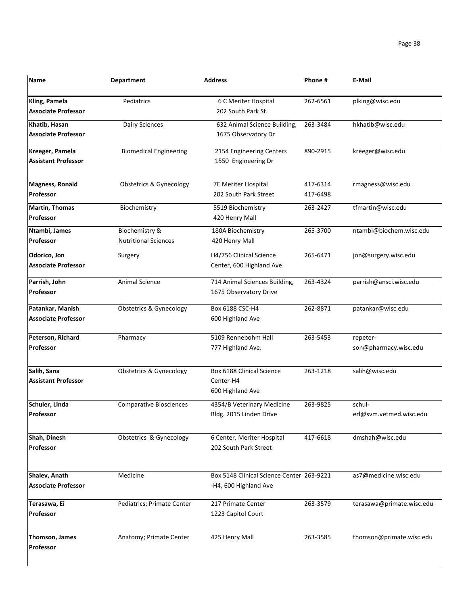| Name                               | <b>Department</b>                             | <b>Address</b>                            | Phone #  | E-Mail                    |
|------------------------------------|-----------------------------------------------|-------------------------------------------|----------|---------------------------|
| <b>Kling, Pamela</b>               | Pediatrics                                    | 6 C Meriter Hospital                      | 262-6561 | plking@wisc.edu           |
| <b>Associate Professor</b>         |                                               | 202 South Park St.                        |          |                           |
| Khatib, Hasan                      | Dairy Sciences                                | 632 Animal Science Building,              | 263-3484 | hkhatib@wisc.edu          |
| <b>Associate Professor</b>         |                                               | 1675 Observatory Dr                       |          |                           |
| Kreeger, Pamela                    | <b>Biomedical Engineering</b>                 | 2154 Engineering Centers                  | 890-2915 | kreeger@wisc.edu          |
| <b>Assistant Professor</b>         |                                               | 1550 Engineering Dr                       |          |                           |
| <b>Magness, Ronald</b>             | <b>Obstetrics &amp; Gynecology</b>            | 7E Meriter Hospital                       | 417-6314 | rmagness@wisc.edu         |
| Professor                          |                                               | 202 South Park Street                     | 417-6498 |                           |
| <b>Martin, Thomas</b>              | Biochemistry                                  | 5519 Biochemistry                         | 263-2427 | tfmartin@wisc.edu         |
| Professor                          |                                               | 420 Henry Mall                            |          |                           |
| Ntambi, James<br>Professor         | Biochemistry &<br><b>Nutritional Sciences</b> | 180A Biochemistry<br>420 Henry Mall       | 265-3700 | ntambi@biochem.wisc.edu   |
| Odorico, Jon                       | Surgery                                       | H4/756 Clinical Science                   | 265-6471 | jon@surgery.wisc.edu      |
| <b>Associate Professor</b>         |                                               | Center, 600 Highland Ave                  |          |                           |
| Parrish, John                      | Animal Science                                | 714 Animal Sciences Building,             | 263-4324 | parrish@ansci.wisc.edu    |
| Professor                          |                                               | 1675 Observatory Drive                    |          |                           |
| Patankar, Manish                   | <b>Obstetrics &amp; Gynecology</b>            | Box 6188 CSC-H4                           | 262-8871 | patankar@wisc.edu         |
| <b>Associate Professor</b>         |                                               | 600 Highland Ave                          |          |                           |
| Peterson, Richard                  | Pharmacy                                      | 5109 Rennebohm Hall                       | 263-5453 | repeter-                  |
| Professor                          |                                               | 777 Highland Ave.                         |          | son@pharmacy.wisc.edu     |
| Salih, Sana                        | <b>Obstetrics &amp; Gynecology</b>            | Box 6188 Clinical Science                 | 263-1218 | salih@wisc.edu            |
| <b>Assistant Professor</b>         |                                               | Center-H4                                 |          |                           |
|                                    |                                               | 600 Highland Ave                          |          |                           |
| Schuler, Linda                     | <b>Comparative Biosciences</b>                | 4354/B Veterinary Medicine                | 263-9825 | schul-                    |
| <b>Professor</b>                   |                                               | Bldg. 2015 Linden Drive                   |          | erl@svm.vetmed.wisc.edu   |
| Shah, Dinesh                       | Obstetrics & Gynecology                       | 6 Center, Meriter Hospital                | 417-6618 | dmshah@wisc.edu           |
| Professor                          |                                               | 202 South Park Street                     |          |                           |
| Shalev, Anath                      | Medicine                                      | Box 5148 Clinical Science Center 263-9221 |          | as7@medicine.wisc.edu     |
| <b>Associate Professor</b>         |                                               | -H4, 600 Highland Ave                     |          |                           |
| Terasawa, Ei                       | Pediatrics; Primate Center                    | 217 Primate Center                        | 263-3579 | terasawa@primate.wisc.edu |
| <b>Professor</b>                   |                                               | 1223 Capitol Court                        |          |                           |
| Thomson, James<br><b>Professor</b> | Anatomy; Primate Center                       | 425 Henry Mall                            | 263-3585 | thomson@primate.wisc.edu  |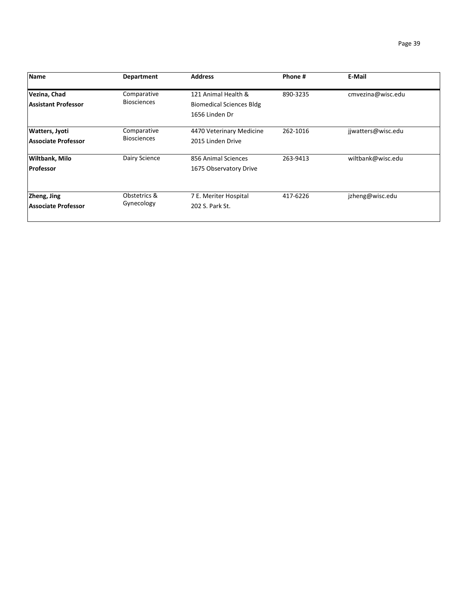|--|--|

| <b>Name</b>                | Department         | <b>Address</b>                  | Phone #  | E-Mail             |
|----------------------------|--------------------|---------------------------------|----------|--------------------|
| Vezina, Chad               | Comparative        | 121 Animal Health &             | 890-3235 | cmvezina@wisc.edu  |
| <b>Assistant Professor</b> | <b>Biosciences</b> | <b>Biomedical Sciences Bldg</b> |          |                    |
|                            |                    | 1656 Linden Dr                  |          |                    |
| <b>Watters, Jyoti</b>      | Comparative        | 4470 Veterinary Medicine        | 262-1016 | jjwatters@wisc.edu |
| <b>Associate Professor</b> | <b>Biosciences</b> | 2015 Linden Drive               |          |                    |
| Wiltbank, Milo             | Dairy Science      | 856 Animal Sciences             | 263-9413 | wiltbank@wisc.edu  |
| Professor                  |                    | 1675 Observatory Drive          |          |                    |
| Zheng, Jing                | Obstetrics &       | 7 E. Meriter Hospital           | 417-6226 | jzheng@wisc.edu    |
| <b>Associate Professor</b> | Gynecology         | 202 S. Park St.                 |          |                    |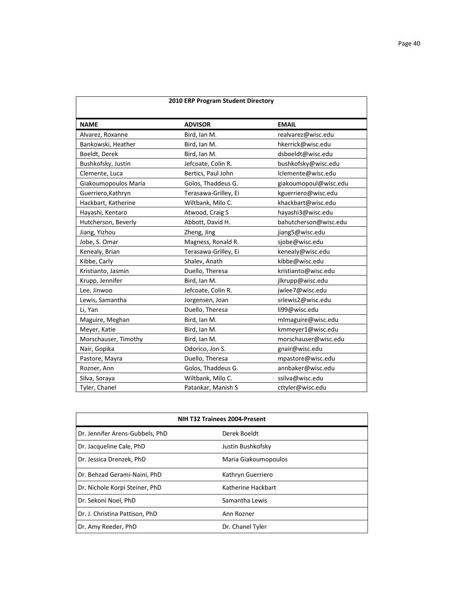| 2010 ERP Program Student Directory |                      |                       |  |
|------------------------------------|----------------------|-----------------------|--|
| <b>NAME</b>                        | <b>ADVISOR</b>       | <b>EMAIL</b>          |  |
| Alvarez, Roxanne                   | Bird, Ian M.         | realvarez@wisc.edu    |  |
| Bankowski, Heather                 | Bird, Ian M.         | hkerrick@wisc.edu     |  |
| Boeldt, Derek                      | Bird, Ian M.         | dsboeldt@wisc.edu     |  |
| Bushkofsky, Justin                 | Jefcoate, Colin R.   | bushkofsky@wisc.edu   |  |
| Clemente, Luca                     | Bertics, Paul John   | lclemente@wisc.edu    |  |
| Giakoumopoulos Maria               | Golos, Thaddeus G.   | giakoumopoul@wisc.edu |  |
| Guerriero, Kathryn                 | Terasawa-Grilley, Ei | kguerriero@wisc.edu   |  |
| Hackbart, Katherine                | Wiltbank, Milo C.    | khackbart@wisc.edu    |  |
| Hayashi, Kentaro                   | Atwood, Craig S      | hayashi3@wisc.edu     |  |
| Hutcherson, Beverly                | Abbott, David H.     | bahutcherson@wisc.edu |  |
| Jiang, Yizhou                      | Zheng, Jing          | jiang5@wisc.edu       |  |
| Jobe, S. Omar                      | Magness, Ronald R.   | sjobe@wisc.edu        |  |
| Kenealy, Brian                     | Terasawa-Grilley, Ei | kenealy@wisc.edu      |  |
| Kibbe, Carly                       | Shalev, Anath        | kibbe@wisc.edu        |  |
| Kristianto, Jasmin                 | Duello, Theresa      | kristianto@wisc.edu   |  |
| Krupp, Jennifer                    | Bird, Ian M.         | jlkrupp@wisc.edu      |  |
| Lee, Jinwoo                        | Jefcoate, Colin R.   | jwlee7@wisc.edu       |  |
| Lewis, Samantha                    | Jorgensen, Joan      | srlewis2@wisc.edu     |  |
| Li, Yan                            | Duello, Theresa      | li99@wisc.edu         |  |
| Maguire, Meghan                    | Bird, Ian M.         | mlmaguire@wisc.edu    |  |
| Meyer, Katie                       | Bird, Ian M.         | kmmeyer1@wisc.edu     |  |
| Morschauser, Timothy               | Bird, Ian M.         | morschauser@wisc.edu  |  |
| Nair, Gopika                       | Odorico, Jon S.      | gnair@wisc.edu        |  |
| Pastore, Mayra                     | Duello, Theresa      | mpastore@wisc.edu     |  |
| Rozner, Ann                        | Golos, Thaddeus G.   | annbaker@wisc.edu     |  |
| Silva, Soraya                      | Wiltbank, Milo C.    | ssilva@wisc.edu       |  |
| Tyler, Chanel                      | Patankar, Manish S   | cttyler@wisc.edu      |  |

| NIH T32 Trainees 2004-Present   |                      |  |  |
|---------------------------------|----------------------|--|--|
| Dr. Jennifer Arens-Gubbels, PhD | Derek Boeldt         |  |  |
| Dr. Jacqueline Cale, PhD        | Justin Bushkofsky    |  |  |
| Dr. Jessica Drenzek, PhD        | Maria Giakoumopoulos |  |  |
| Dr. Behzad Gerami-Naini, PhD    | Kathryn Guerriero    |  |  |
| Dr. Nichole Korpi Steiner, PhD  | Katherine Hackbart   |  |  |
| Dr. Sekoni Noel, PhD            | Samantha Lewis       |  |  |
| Dr. J. Christina Pattison, PhD  | Ann Rozner           |  |  |
| Dr. Amy Reeder, PhD             | Dr. Chanel Tyler     |  |  |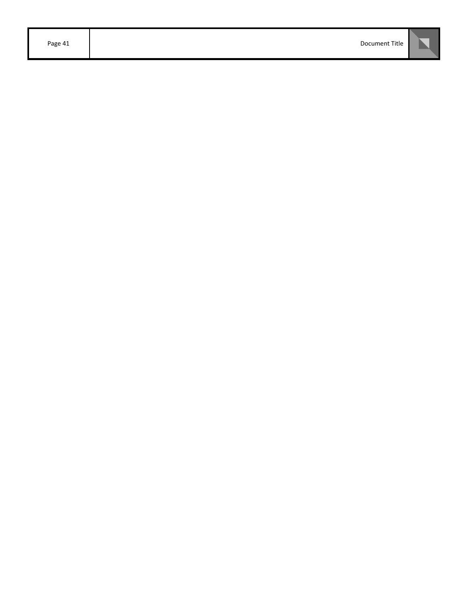| Page 41 | Document Title |  |
|---------|----------------|--|
|---------|----------------|--|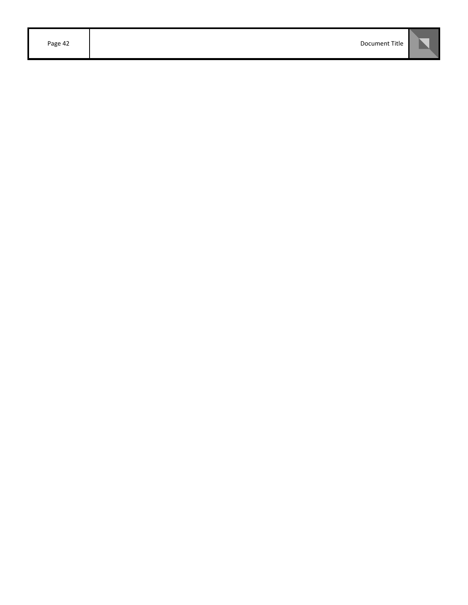| Page 42 | Document Title |  |
|---------|----------------|--|
|---------|----------------|--|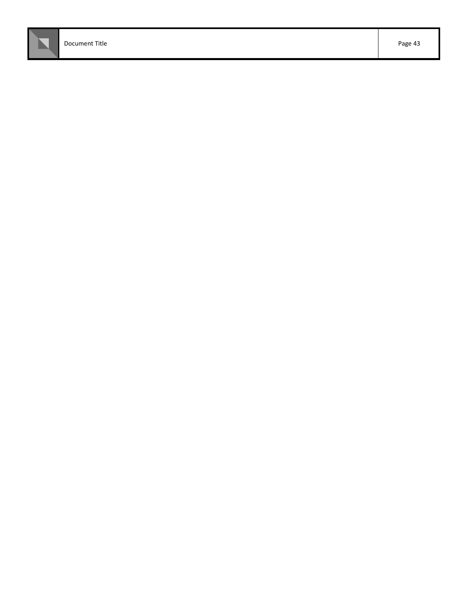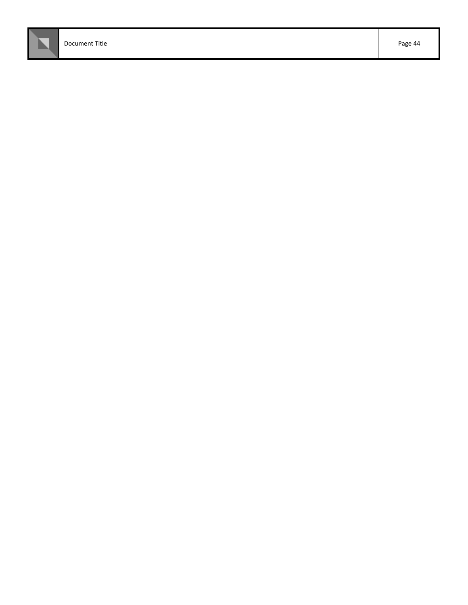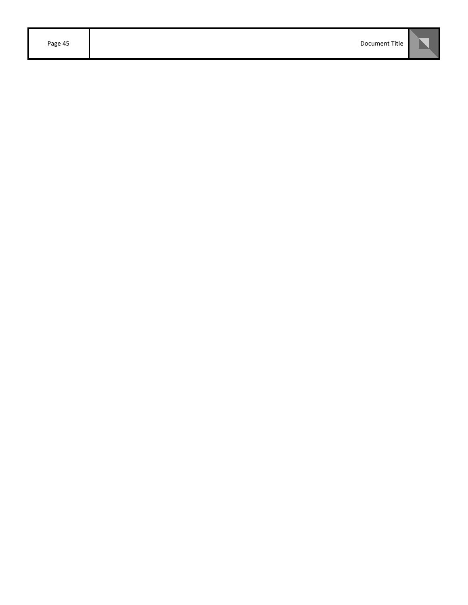| Page 45 | Document Title |  |
|---------|----------------|--|
|---------|----------------|--|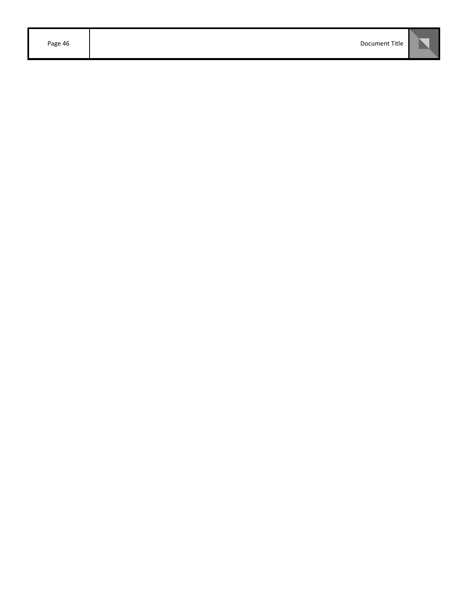| Page 46 | Document Title |  |
|---------|----------------|--|
|---------|----------------|--|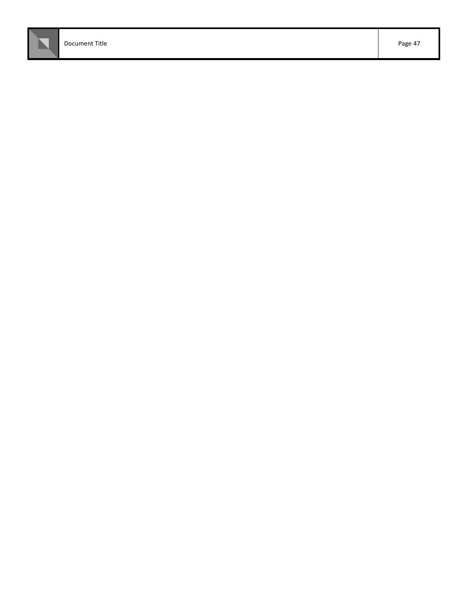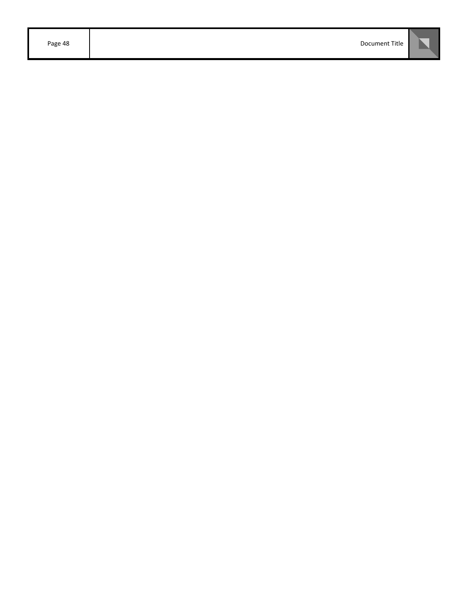| Page 48 | Document Title |  |
|---------|----------------|--|
|---------|----------------|--|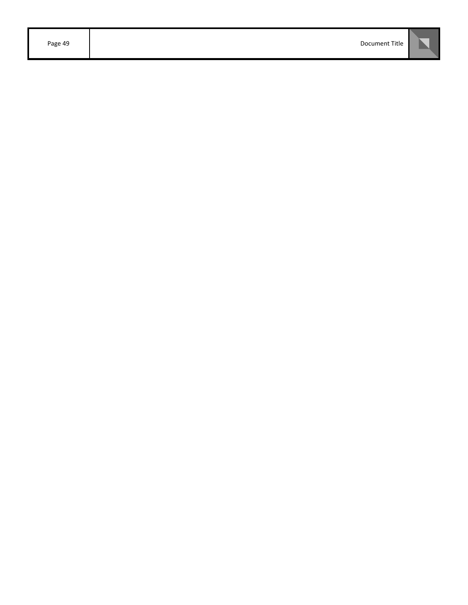| Page 49 | Document Title |  |
|---------|----------------|--|
|---------|----------------|--|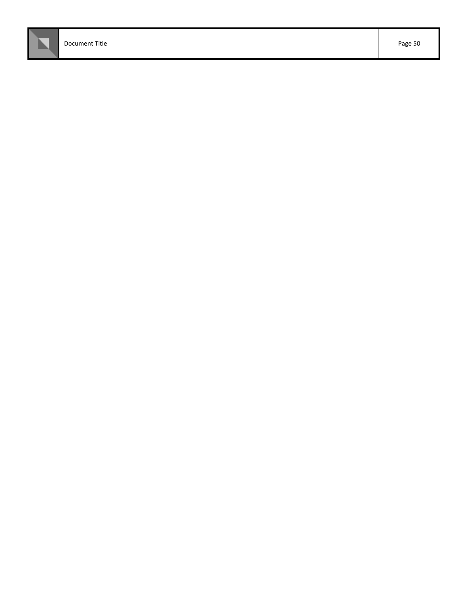